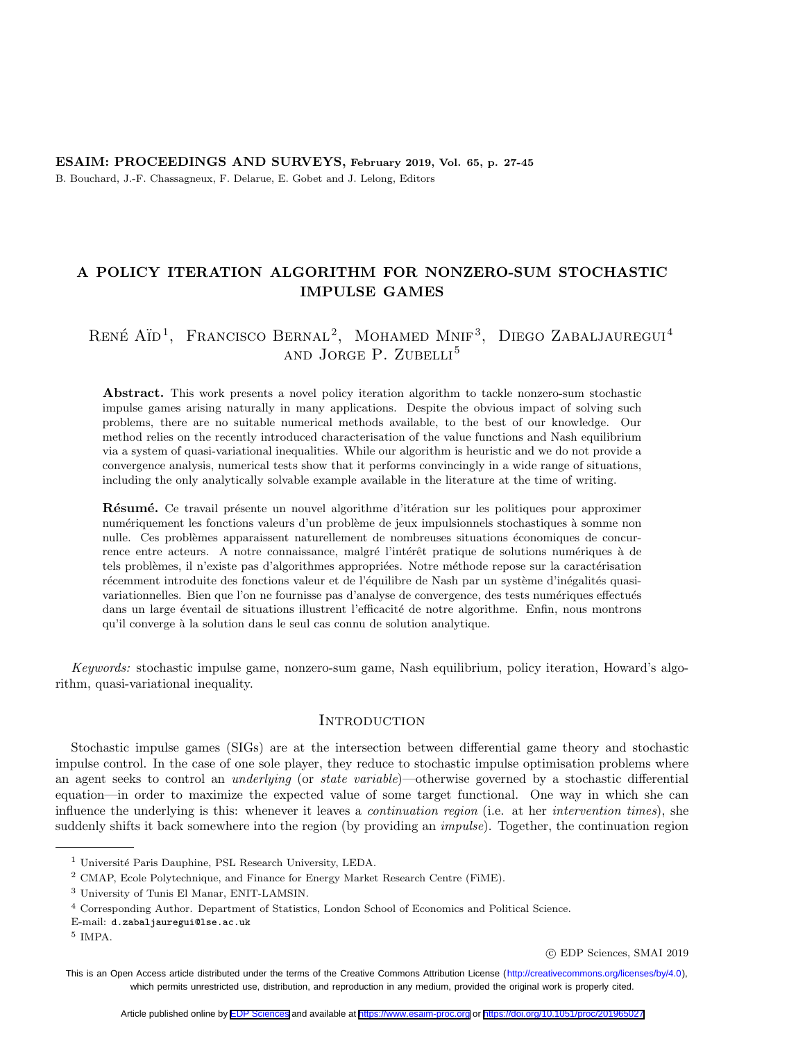# <span id="page-0-0"></span>ESAIM: PROCEEDINGS AND SURVEYS, February 2019, Vol. 65, p. 27-45 B. Bouchard, J.-F. Chassagneux, F. Delarue, E. Gobet and J. Lelong, Editors

# A POLICY ITERATION ALGORITHM FOR NONZERO-SUM STOCHASTIC IMPULSE GAMES

# RENÉ AÏD<sup>1</sup>, FRANCISCO BERNAL<sup>2</sup>, MOHAMED MNIF<sup>3</sup>, DIEGO ZABALJAUREGUI<sup>4</sup> and JORGE P. ZUBELLI<sup>5</sup>

Abstract. This work presents a novel policy iteration algorithm to tackle nonzero-sum stochastic impulse games arising naturally in many applications. Despite the obvious impact of solving such problems, there are no suitable numerical methods available, to the best of our knowledge. Our method relies on the recently introduced characterisation of the value functions and Nash equilibrium via a system of quasi-variational inequalities. While our algorithm is heuristic and we do not provide a convergence analysis, numerical tests show that it performs convincingly in a wide range of situations, including the only analytically solvable example available in the literature at the time of writing.

**R**ésumé. Ce travail présente un nouvel algorithme d'itération sur les politiques pour approximer numériquement les fonctions valeurs d'un problème de jeux impulsionnels stochastiques à somme non nulle. Ces problèmes apparaissent naturellement de nombreuses situations économiques de concurrence entre acteurs. A notre connaissance, malgré l'intérêt pratique de solutions numériques à de tels problèmes, il n'existe pas d'algorithmes appropriées. Notre méthode repose sur la caractérisation récemment introduite des fonctions valeur et de l'équilibre de Nash par un système d'inégalités quasivariationnelles. Bien que l'on ne fournisse pas d'analyse de convergence, des tests numériques effectués dans un large éventail de situations illustrent l'efficacité de notre algorithme. Enfin, nous montrons qu'il converge `a la solution dans le seul cas connu de solution analytique.

Keywords: stochastic impulse game, nonzero-sum game, Nash equilibrium, policy iteration, Howard's algorithm, quasi-variational inequality.

## Introduction

Stochastic impulse games (SIGs) are at the intersection between differential game theory and stochastic impulse control. In the case of one sole player, they reduce to stochastic impulse optimisation problems where an agent seeks to control an *underlying* (or *state variable*)—otherwise governed by a stochastic differential equation—in order to maximize the expected value of some target functional. One way in which she can influence the underlying is this: whenever it leaves a continuation region (i.e. at her intervention times), she suddenly shifts it back somewhere into the region (by providing an *impulse*). Together, the continuation region

 $1$  Université Paris Dauphine, PSL Research University, LEDA.

<sup>2</sup> CMAP, Ecole Polytechnique, and Finance for Energy Market Research Centre (FiME).

<sup>3</sup> University of Tunis El Manar, ENIT-LAMSIN.

<sup>4</sup> Corresponding Author. Department of Statistics, London School of Economics and Political Science.

E-mail: d.zabaljauregui@lse.ac.uk

<sup>5</sup> IMPA.

c EDP Sciences, SMAI 2019

This is an Open Access article distributed under the terms of the Creative Commons Attribution License [\(http://creativecommons.org/licenses/by/4.0](http://creativecommons.org/licenses/by/4.0)), which permits unrestricted use, distribution, and reproduction in any medium, provided the original work is properly cited.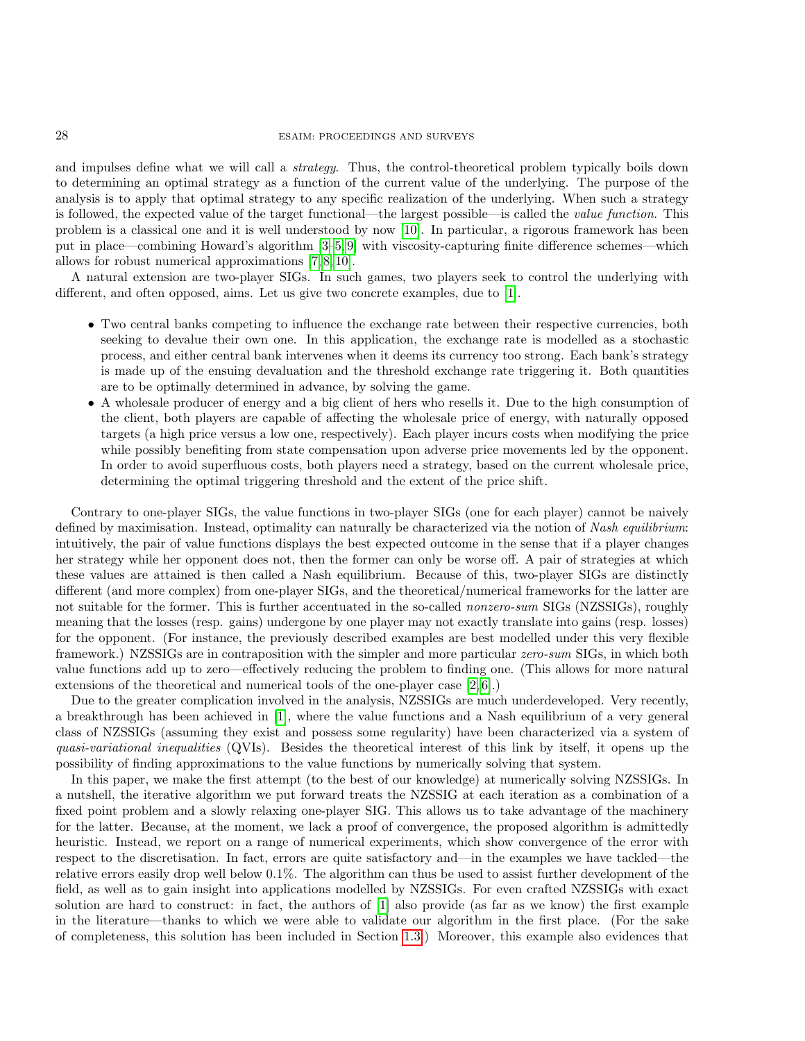## 28 ESAIM: PROCEEDINGS AND SURVEYS

and impulses define what we will call a strategy. Thus, the control-theoretical problem typically boils down to determining an optimal strategy as a function of the current value of the underlying. The purpose of the analysis is to apply that optimal strategy to any specific realization of the underlying. When such a strategy is followed, the expected value of the target functional—the largest possible—is called the value function. This problem is a classical one and it is well understood by now [\[10\]](#page-18-0). In particular, a rigorous framework has been put in place—combining Howard's algorithm [\[3–](#page-17-0)[5,](#page-17-1) [9\]](#page-18-1) with viscosity-capturing finite difference schemes—which allows for robust numerical approximations [\[7,](#page-18-2) [8,](#page-18-3) [10\]](#page-18-0).

A natural extension are two-player SIGs. In such games, two players seek to control the underlying with different, and often opposed, aims. Let us give two concrete examples, due to [\[1\]](#page-17-2).

- Two central banks competing to influence the exchange rate between their respective currencies, both seeking to devalue their own one. In this application, the exchange rate is modelled as a stochastic process, and either central bank intervenes when it deems its currency too strong. Each bank's strategy is made up of the ensuing devaluation and the threshold exchange rate triggering it. Both quantities are to be optimally determined in advance, by solving the game.
- A wholesale producer of energy and a big client of hers who resells it. Due to the high consumption of the client, both players are capable of affecting the wholesale price of energy, with naturally opposed targets (a high price versus a low one, respectively). Each player incurs costs when modifying the price while possibly benefiting from state compensation upon adverse price movements led by the opponent. In order to avoid superfluous costs, both players need a strategy, based on the current wholesale price, determining the optimal triggering threshold and the extent of the price shift.

Contrary to one-player SIGs, the value functions in two-player SIGs (one for each player) cannot be naively defined by maximisation. Instead, optimality can naturally be characterized via the notion of Nash equilibrium: intuitively, the pair of value functions displays the best expected outcome in the sense that if a player changes her strategy while her opponent does not, then the former can only be worse off. A pair of strategies at which these values are attained is then called a Nash equilibrium. Because of this, two-player SIGs are distinctly different (and more complex) from one-player SIGs, and the theoretical/numerical frameworks for the latter are not suitable for the former. This is further accentuated in the so-called *nonzero-sum* SIGs (NZSSIGs), roughly meaning that the losses (resp. gains) undergone by one player may not exactly translate into gains (resp. losses) for the opponent. (For instance, the previously described examples are best modelled under this very flexible framework.) NZSSIGs are in contraposition with the simpler and more particular zero-sum SIGs, in which both value functions add up to zero—effectively reducing the problem to finding one. (This allows for more natural extensions of the theoretical and numerical tools of the one-player case [\[2,](#page-17-3) [6\]](#page-17-4).)

Due to the greater complication involved in the analysis, NZSSIGs are much underdeveloped. Very recently, a breakthrough has been achieved in [\[1\]](#page-17-2), where the value functions and a Nash equilibrium of a very general class of NZSSIGs (assuming they exist and possess some regularity) have been characterized via a system of quasi-variational inequalities (QVIs). Besides the theoretical interest of this link by itself, it opens up the possibility of finding approximations to the value functions by numerically solving that system.

In this paper, we make the first attempt (to the best of our knowledge) at numerically solving NZSSIGs. In a nutshell, the iterative algorithm we put forward treats the NZSSIG at each iteration as a combination of a fixed point problem and a slowly relaxing one-player SIG. This allows us to take advantage of the machinery for the latter. Because, at the moment, we lack a proof of convergence, the proposed algorithm is admittedly heuristic. Instead, we report on a range of numerical experiments, which show convergence of the error with respect to the discretisation. In fact, errors are quite satisfactory and—in the examples we have tackled—the relative errors easily drop well below 0.1%. The algorithm can thus be used to assist further development of the field, as well as to gain insight into applications modelled by NZSSIGs. For even crafted NZSSIGs with exact solution are hard to construct: in fact, the authors of [\[1\]](#page-17-2) also provide (as far as we know) the first example in the literature—thanks to which we were able to validate our algorithm in the first place. (For the sake of completeness, this solution has been included in Section [1.3.](#page-4-0)) Moreover, this example also evidences that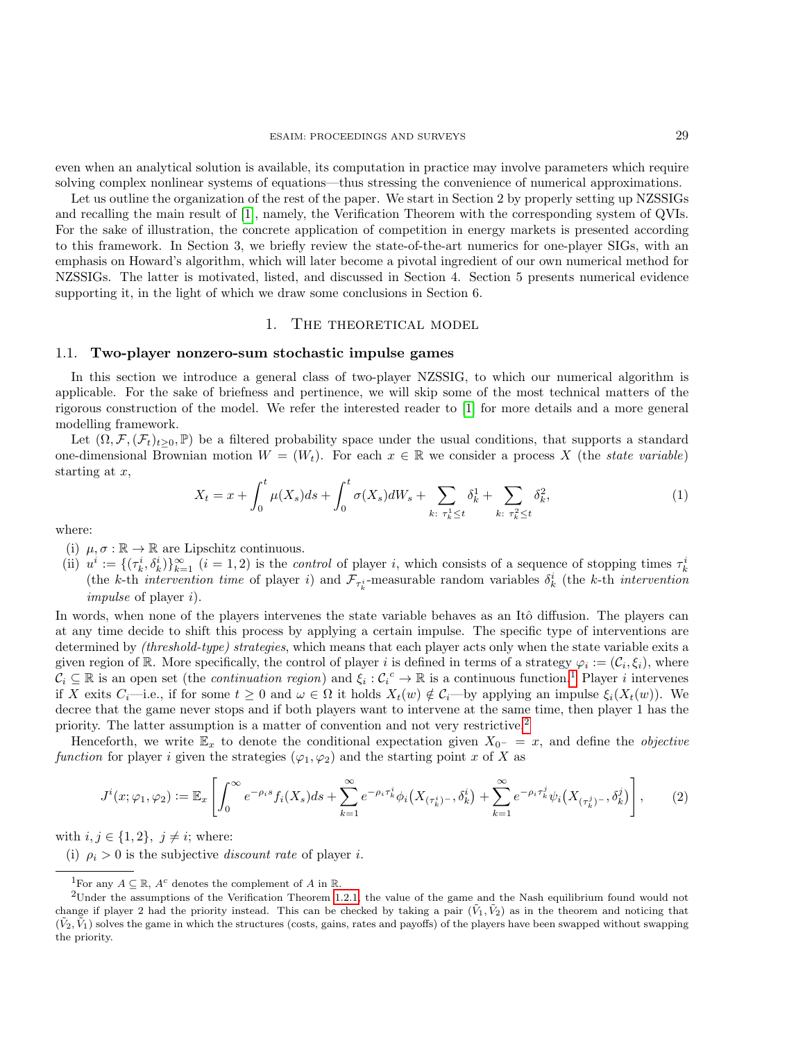even when an analytical solution is available, its computation in practice may involve parameters which require solving complex nonlinear systems of equations—thus stressing the convenience of numerical approximations.

Let us outline the organization of the rest of the paper. We start in Section 2 by properly setting up NZSSIGs and recalling the main result of [\[1\]](#page-17-2), namely, the Verification Theorem with the corresponding system of QVIs. For the sake of illustration, the concrete application of competition in energy markets is presented according to this framework. In Section 3, we briefly review the state-of-the-art numerics for one-player SIGs, with an emphasis on Howard's algorithm, which will later become a pivotal ingredient of our own numerical method for NZSSIGs. The latter is motivated, listed, and discussed in Section 4. Section 5 presents numerical evidence supporting it, in the light of which we draw some conclusions in Section 6.

# 1. THE THEORETICAL MODEL

#### <span id="page-2-2"></span>1.1. Two-player nonzero-sum stochastic impulse games

In this section we introduce a general class of two-player NZSSIG, to which our numerical algorithm is applicable. For the sake of briefness and pertinence, we will skip some of the most technical matters of the rigorous construction of the model. We refer the interested reader to [\[1\]](#page-17-2) for more details and a more general modelling framework.

Let  $(\Omega, \mathcal{F}, (\mathcal{F}_t)_{t>0}, \mathbb{P})$  be a filtered probability space under the usual conditions, that supports a standard one-dimensional Brownian motion  $W = (W_t)$ . For each  $x \in \mathbb{R}$  we consider a process X (the state variable) starting at  $x$ ,

$$
X_t = x + \int_0^t \mu(X_s)ds + \int_0^t \sigma(X_s)dW_s + \sum_{k:\ \tau_k^1 \le t} \delta_k^1 + \sum_{k:\ \tau_k^2 \le t} \delta_k^2,\tag{1}
$$

where:

- (i)  $\mu, \sigma : \mathbb{R} \to \mathbb{R}$  are Lipschitz continuous.
- (ii)  $u^i := \{(\tau_k^i, \delta_k^i)\}_{k=1}^\infty$  ( $i = 1, 2$ ) is the *control* of player *i*, which consists of a sequence of stopping times  $\tau_k^i$ (the k-th intervention time of player i) and  $\mathcal{F}_{\tau_k^i}$ -measurable random variables  $\delta_k^i$  (the k-th intervention impulse of player i).

In words, when none of the players intervenes the state variable behaves as an Itô diffusion. The players can at any time decide to shift this process by applying a certain impulse. The specific type of interventions are determined by *(threshold-type) strategies*, which means that each player acts only when the state variable exits a given region of R. More specifically, the control of player i is defined in terms of a strategy  $\varphi_i := (\mathcal{C}_i, \xi_i)$ , where  $\mathcal{C}_i \subseteq \mathbb{R}$  is an open set (the *continuation region*) and  $\xi_i : \mathcal{C}_i^c \to \mathbb{R}$  is a continuous function.<sup>[1](#page-2-0)</sup> Player *i* intervenes if X exits  $C_i$ —i.e., if for some  $t \geq 0$  and  $\omega \in \Omega$  it holds  $X_t(w) \notin C_i$ —by applying an impulse  $\xi_i(X_t(w))$ . We decree that the game never stops and if both players want to intervene at the same time, then player 1 has the priority. The latter assumption is a matter of convention and not very restrictive.<sup>[2](#page-2-1)</sup>

Henceforth, we write  $\mathbb{E}_x$  to denote the conditional expectation given  $X_{0^-} = x$ , and define the *objective* function for player i given the strategies  $(\varphi_1, \varphi_2)$  and the starting point x of X as

$$
J^{i}(x;\varphi_{1},\varphi_{2}) := \mathbb{E}_{x} \left[ \int_{0}^{\infty} e^{-\rho_{i}s} f_{i}(X_{s}) ds + \sum_{k=1}^{\infty} e^{-\rho_{i}\tau_{k}^{i}} \phi_{i}(X_{(\tau_{k}^{i})^{-}},\delta_{k}^{i}) + \sum_{k=1}^{\infty} e^{-\rho_{i}\tau_{k}^{j}} \psi_{i}(X_{(\tau_{k}^{j})^{-}},\delta_{k}^{j}) \right],
$$
 (2)

<span id="page-2-3"></span>with  $i, j \in \{1, 2\}, \ j \neq i$ ; where:

(i)  $\rho_i > 0$  is the subjective *discount rate* of player *i*.

<span id="page-2-1"></span><span id="page-2-0"></span><sup>&</sup>lt;sup>1</sup>For any  $A \subseteq \mathbb{R}$ ,  $A^c$  denotes the complement of A in  $\mathbb{R}$ .

<sup>2</sup>Under the assumptions of the Verification Theorem [1.2.1,](#page-4-1) the value of the game and the Nash equilibrium found would not change if player 2 had the priority instead. This can be checked by taking a pair  $(\tilde{V}_1, \tilde{V}_2)$  as in the theorem and noticing that  $(\tilde{V}_2, \tilde{V}_1)$  solves the game in which the structures (costs, gains, rates and payoffs) of the players have been swapped without swapping the priority.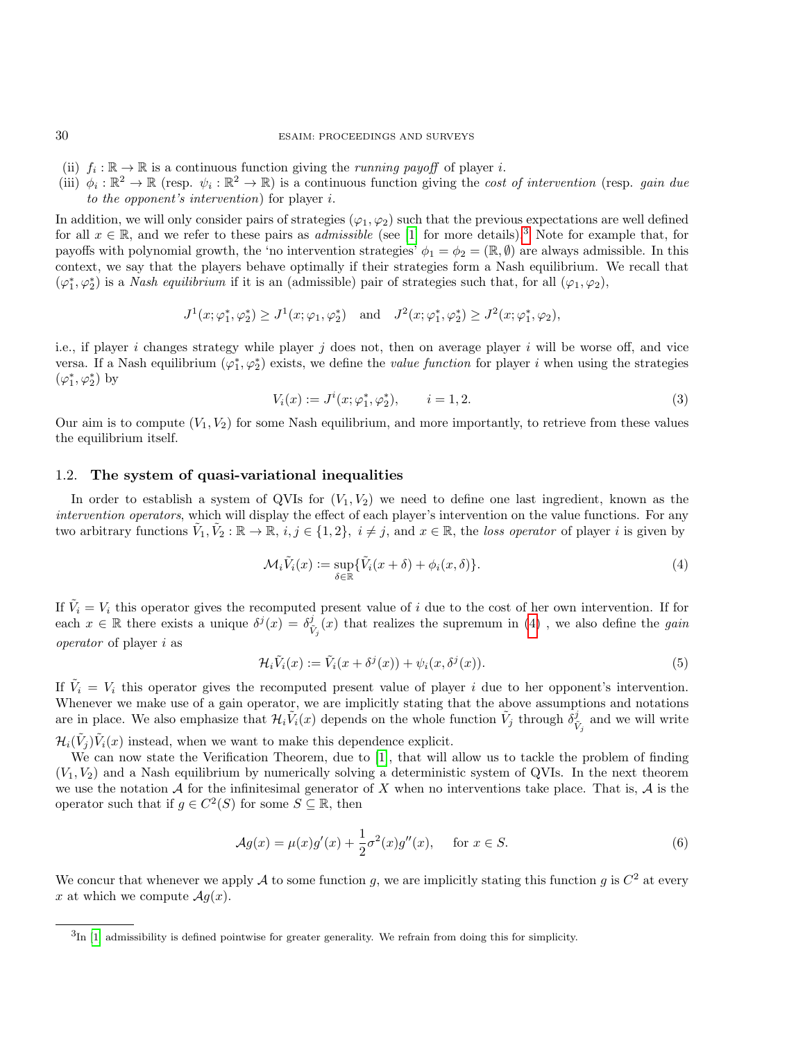- (ii)  $f_i : \mathbb{R} \to \mathbb{R}$  is a continuous function giving the *running payoff* of player *i*.
- (iii)  $\phi_i : \mathbb{R}^2 \to \mathbb{R}$  (resp.  $\psi_i : \mathbb{R}^2 \to \mathbb{R}$ ) is a continuous function giving the *cost of intervention* (resp. *gain due* to the opponent's intervention) for player i.

In addition, we will only consider pairs of strategies  $(\varphi_1, \varphi_2)$  such that the previous expectations are well defined for all  $x \in \mathbb{R}$ , and we refer to these pairs as *admissible* (see [\[1\]](#page-17-2) for more details).<sup>[3](#page-3-0)</sup> Note for example that, for payoffs with polynomial growth, the 'no intervention strategies'  $\phi_1 = \phi_2 = (\mathbb{R}, \emptyset)$  are always admissible. In this context, we say that the players behave optimally if their strategies form a Nash equilibrium. We recall that  $(\varphi_1^*, \varphi_2^*)$  is a *Nash equilibrium* if it is an (admissible) pair of strategies such that, for all  $(\varphi_1, \varphi_2)$ ,

$$
J^{1}(x; \varphi_{1}^{*}, \varphi_{2}^{*}) \geq J^{1}(x; \varphi_{1}, \varphi_{2}^{*}) \text{ and } J^{2}(x; \varphi_{1}^{*}, \varphi_{2}^{*}) \geq J^{2}(x; \varphi_{1}^{*}, \varphi_{2}),
$$

i.e., if player i changes strategy while player j does not, then on average player i will be worse off, and vice versa. If a Nash equilibrium  $(\varphi_1^*, \varphi_2^*)$  exists, we define the *value function* for player *i* when using the strategies  $(\varphi_1^*, \varphi_2^*)$  by

$$
V_i(x) := J^i(x; \varphi_1^*, \varphi_2^*), \qquad i = 1, 2. \tag{3}
$$

Our aim is to compute  $(V_1, V_2)$  for some Nash equilibrium, and more importantly, to retrieve from these values the equilibrium itself.

## 1.2. The system of quasi-variational inequalities

In order to establish a system of QVIs for  $(V_1, V_2)$  we need to define one last ingredient, known as the intervention operators, which will display the effect of each player's intervention on the value functions. For any two arbitrary functions  $\tilde{V}_1, \tilde{V}_2 : \mathbb{R} \to \mathbb{R}, i, j \in \{1, 2\}, i \neq j$ , and  $x \in \mathbb{R}$ , the loss operator of player i is given by

<span id="page-3-1"></span>
$$
\mathcal{M}_i \tilde{V}_i(x) := \sup_{\delta \in \mathbb{R}} \{ \tilde{V}_i(x + \delta) + \phi_i(x, \delta) \}.
$$
 (4)

If  $\tilde{V}_i = V_i$  this operator gives the recomputed present value of i due to the cost of her own intervention. If for each  $x \in \mathbb{R}$  there exists a unique  $\delta^j(x) = \delta^j_{\tilde{V}_j}(x)$  that realizes the supremum in [\(4\)](#page-3-1), we also define the *gain* operator of player i as

$$
\mathcal{H}_i \tilde{V}_i(x) := \tilde{V}_i(x + \delta^j(x)) + \psi_i(x, \delta^j(x)).
$$
\n(5)

If  $\tilde{V}_i = V_i$  this operator gives the recomputed present value of player i due to her opponent's intervention. Whenever we make use of a gain operator, we are implicitly stating that the above assumptions and notations are in place. We also emphasize that  $\mathcal{H}_i \tilde{V}_i(x)$  depends on the whole function  $\tilde{V}_j$  through  $\delta^j_{\tilde{V}_j}$  and we will write  $\mathcal{H}_i(\tilde{V}_j)\tilde{V}_i(x)$  instead, when we want to make this dependence explicit.

We can now state the Verification Theorem, due to [\[1\]](#page-17-2), that will allow us to tackle the problem of finding  $(V_1, V_2)$  and a Nash equilibrium by numerically solving a deterministic system of QVIs. In the next theorem we use the notation A for the infinitesimal generator of X when no interventions take place. That is,  $\mathcal A$  is the operator such that if  $g \in C^2(S)$  for some  $S \subseteq \mathbb{R}$ , then

$$
\mathcal{A}g(x) = \mu(x)g'(x) + \frac{1}{2}\sigma^2(x)g''(x), \quad \text{for } x \in S.
$$
 (6)

We concur that whenever we apply A to some function g, we are implicitly stating this function g is  $C^2$  at every x at which we compute  $\mathcal{A}g(x)$ .

<span id="page-3-0"></span> ${}^{3}\text{In}$  [\[1\]](#page-17-2) admissibility is defined pointwise for greater generality. We refrain from doing this for simplicity.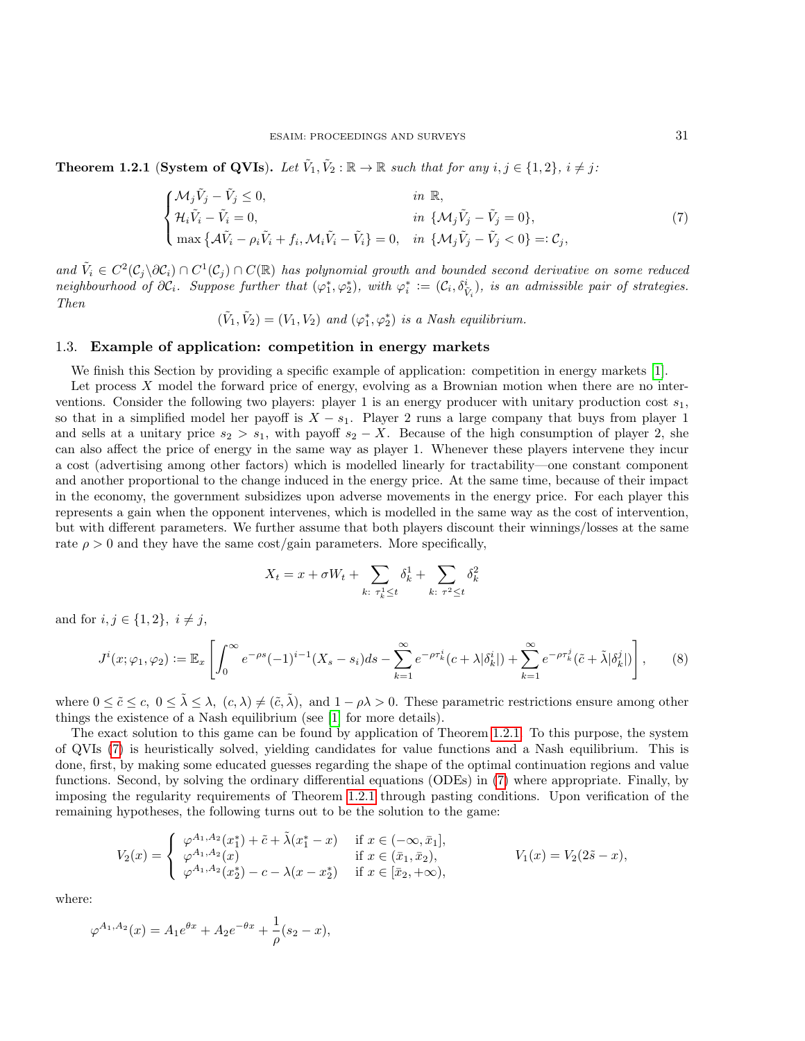<span id="page-4-1"></span>**Theorem 1.2.1** (System of QVIs). Let  $\tilde{V}_1, \tilde{V}_2 : \mathbb{R} \to \mathbb{R}$  such that for any  $i, j \in \{1, 2\}, i \neq j$ :

<span id="page-4-2"></span>
$$
\begin{cases}\n\mathcal{M}_j \tilde{V}_j - \tilde{V}_j \leq 0, & \text{in } \mathbb{R}, \\
\mathcal{H}_i \tilde{V}_i - \tilde{V}_i = 0, & \text{in } \{\mathcal{M}_j \tilde{V}_j - \tilde{V}_j = 0\}, \\
\max \{\mathcal{A}\tilde{V}_i - \rho_i \tilde{V}_i + f_i, \mathcal{M}_i \tilde{V}_i - \tilde{V}_i\} = 0, & \text{in } \{\mathcal{M}_j \tilde{V}_j - \tilde{V}_j < 0\} =: \mathcal{C}_j,\n\end{cases}
$$
\n(7)

and  $\tilde{V}_i \in C^2(\mathcal{C}_j \setminus \partial \mathcal{C}_i) \cap C^1(\mathcal{C}_j) \cap C(\mathbb{R})$  has polynomial growth and bounded second derivative on some reduced neighbourhood of  $\partial \mathcal{C}_i$ . Suppose further that  $(\varphi_1^*, \varphi_2^*)$ , with  $\varphi_i^* := (\mathcal{C}_i, \delta_{\tilde{V}_i}^i)$ , is an admissible pair of strategies. Then

 $(\tilde{V}_1, \tilde{V}_2) = (V_1, V_2)$  and  $(\varphi_1^*, \varphi_2^*)$  is a Nash equilibrium.

### <span id="page-4-0"></span>1.3. Example of application: competition in energy markets

We finish this Section by providing a specific example of application: competition in energy markets [\[1\]](#page-17-2).

Let process  $X$  model the forward price of energy, evolving as a Brownian motion when there are no interventions. Consider the following two players: player 1 is an energy producer with unitary production cost  $s_1$ . so that in a simplified model her payoff is  $X - s_1$ . Player 2 runs a large company that buys from player 1 and sells at a unitary price  $s_2 > s_1$ , with payoff  $s_2 - X$ . Because of the high consumption of player 2, she can also affect the price of energy in the same way as player 1. Whenever these players intervene they incur a cost (advertising among other factors) which is modelled linearly for tractability—one constant component and another proportional to the change induced in the energy price. At the same time, because of their impact in the economy, the government subsidizes upon adverse movements in the energy price. For each player this represents a gain when the opponent intervenes, which is modelled in the same way as the cost of intervention, but with different parameters. We further assume that both players discount their winnings/losses at the same rate  $\rho > 0$  and they have the same cost/gain parameters. More specifically,

$$
X_t = x + \sigma W_t + \sum_{k: \tau_k^1 \le t} \delta_k^1 + \sum_{k: \tau^2 \le t} \delta_k^2
$$

and for  $i, j \in \{1, 2\}, i \neq j$ ,

$$
J^{i}(x;\varphi_{1},\varphi_{2}) := \mathbb{E}_{x}\left[\int_{0}^{\infty}e^{-\rho s}(-1)^{i-1}(X_{s}-s_{i})ds - \sum_{k=1}^{\infty}e^{-\rho\tau_{k}^{i}}(c+\lambda|\delta_{k}^{i}|) + \sum_{k=1}^{\infty}e^{-\rho\tau_{k}^{j}}(\tilde{c}+\tilde{\lambda}|\delta_{k}^{j}|)\right],
$$
(8)

where  $0 \leq \tilde{c} \leq c$ ,  $0 \leq \tilde{\lambda} \leq \lambda$ ,  $(c, \lambda) \neq (\tilde{c}, \tilde{\lambda})$ , and  $1 - \rho \lambda > 0$ . These parametric restrictions ensure among other things the existence of a Nash equilibrium (see [\[1\]](#page-17-2) for more details).

The exact solution to this game can be found by application of Theorem [1.2.1.](#page-4-1) To this purpose, the system of QVIs [\(7\)](#page-4-2) is heuristically solved, yielding candidates for value functions and a Nash equilibrium. This is done, first, by making some educated guesses regarding the shape of the optimal continuation regions and value functions. Second, by solving the ordinary differential equations (ODEs) in [\(7\)](#page-4-2) where appropriate. Finally, by imposing the regularity requirements of Theorem [1.2.1](#page-4-1) through pasting conditions. Upon verification of the remaining hypotheses, the following turns out to be the solution to the game:

$$
V_2(x) = \begin{cases} \varphi^{A_1, A_2}(x_1^*) + \tilde{c} + \tilde{\lambda}(x_1^* - x) & \text{if } x \in (-\infty, \bar{x}_1], \\ \varphi^{A_1, A_2}(x) & \text{if } x \in (\bar{x}_1, \bar{x}_2), \\ \varphi^{A_1, A_2}(x_2^*) - c - \lambda(x - x_2^*) & \text{if } x \in [\bar{x}_2, +\infty), \end{cases} \qquad V_1(x) = V_2(2\tilde{s} - x),
$$

where:

$$
\varphi^{A_1, A_2}(x) = A_1 e^{\theta x} + A_2 e^{-\theta x} + \frac{1}{\rho}(s_2 - x),
$$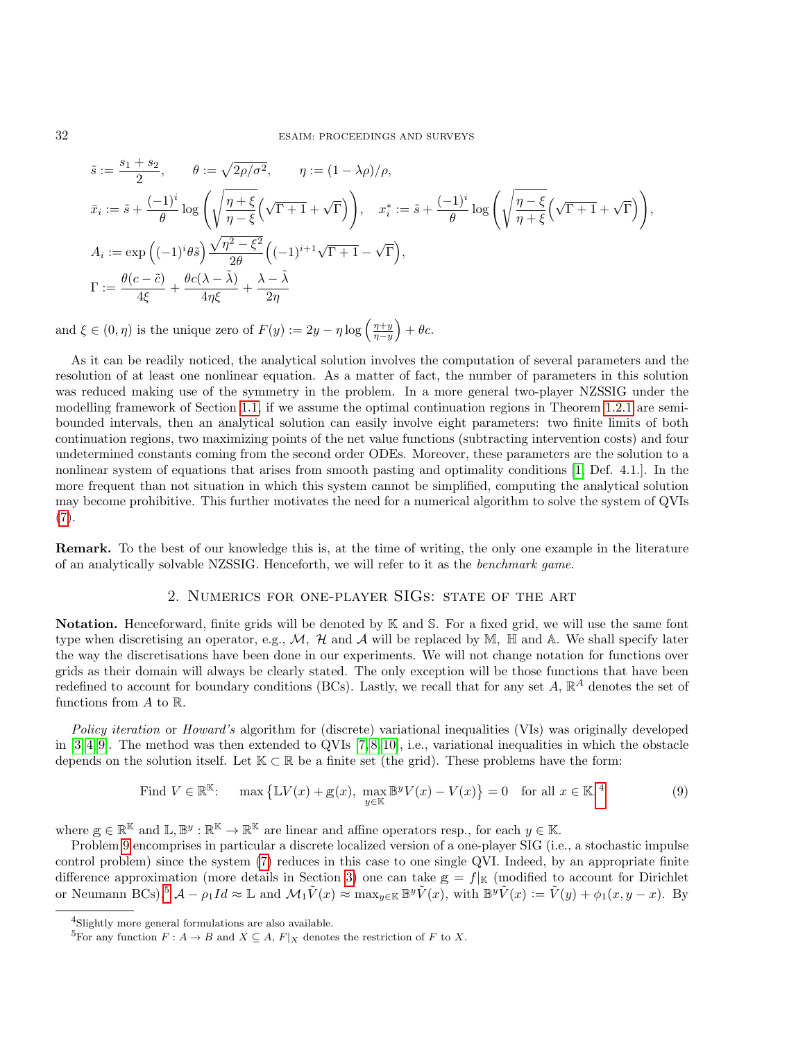$$
\begin{aligned} &\tilde{s}:=\frac{s_1+s_2}{2},\qquad \theta:=\sqrt{2\rho/\sigma^2},\qquad \eta:= (1-\lambda\rho)/\rho,\\ &\bar{x}_i:=\tilde{s}+\frac{(-1)^i}{\theta}\log\left(\sqrt{\frac{\eta+\xi}{\eta-\xi}}\Big(\sqrt{\Gamma+1}+\sqrt{\Gamma}\Big)\right),\quad x_i^*:=\tilde{s}+\frac{(-1)^i}{\theta}\log\left(\sqrt{\frac{\eta-\xi}{\eta+\xi}}\Big(\sqrt{\Gamma+1}+\sqrt{\Gamma}\Big)\right),\\ &A_i:=\exp\left((-1)^i\theta\tilde{s}\right)\frac{\sqrt{\eta^2-\xi^2}}{2\theta}\Big((-1)^{i+1}\sqrt{\Gamma+1}-\sqrt{\Gamma}\Big),\\ &\Gamma:=\frac{\theta(c-\tilde{c})}{4\xi}+\frac{\theta c(\lambda-\tilde{\lambda})}{4\eta\xi}+\frac{\lambda-\tilde{\lambda}}{2\eta} \end{aligned}
$$

and  $\xi \in (0, \eta)$  is the unique zero of  $F(y) := 2y - \eta \log \left( \frac{\eta + y}{\eta - y} \right) + \theta c$ .

As it can be readily noticed, the analytical solution involves the computation of several parameters and the resolution of at least one nonlinear equation. As a matter of fact, the number of parameters in this solution was reduced making use of the symmetry in the problem. In a more general two-player NZSSIG under the modelling framework of Section [1.1,](#page-2-2) if we assume the optimal continuation regions in Theorem [1.2.1](#page-4-1) are semibounded intervals, then an analytical solution can easily involve eight parameters: two finite limits of both continuation regions, two maximizing points of the net value functions (subtracting intervention costs) and four undetermined constants coming from the second order ODEs. Moreover, these parameters are the solution to a nonlinear system of equations that arises from smooth pasting and optimality conditions [\[1,](#page-17-2) Def. 4.1.]. In the more frequent than not situation in which this system cannot be simplified, computing the analytical solution may become prohibitive. This further motivates the need for a numerical algorithm to solve the system of QVIs  $(7).$  $(7).$ 

Remark. To the best of our knowledge this is, at the time of writing, the only one example in the literature of an analytically solvable NZSSIG. Henceforth, we will refer to it as the benchmark game.

# 2. Numerics for one-player SIGs: state of the art

Notation. Henceforward, finite grids will be denoted by K and S. For a fixed grid, we will use the same font type when discretising an operator, e.g.,  $M$ ,  $H$  and  $A$  will be replaced by M,  $H$  and  $A$ . We shall specify later the way the discretisations have been done in our experiments. We will not change notation for functions over grids as their domain will always be clearly stated. The only exception will be those functions that have been redefined to account for boundary conditions (BCs). Lastly, we recall that for any set  $A$ ,  $\mathbb{R}^A$  denotes the set of functions from  $A$  to  $\mathbb{R}$ .

Policy iteration or Howard's algorithm for (discrete) variational inequalities (VIs) was originally developed in  $[3, 4, 9]$  $[3, 4, 9]$  $[3, 4, 9]$ . The method was then extended to QVIs  $[7, 8, 10]$  $[7, 8, 10]$  $[7, 8, 10]$ , i.e., variational inequalities in which the obstacle depends on the solution itself. Let  $K \subset \mathbb{R}$  be a finite set (the grid). These problems have the form:

<span id="page-5-1"></span>Find 
$$
V \in \mathbb{R}^{\mathbb{K}}
$$
:  $\max \{ \mathbb{L}V(x) + g(x), \max_{y \in \mathbb{K}} \mathbb{B}^y V(x) - V(x) \} = 0$  for all  $x \in \mathbb{K}, \mathbb{K}$ . (9)

where  $g \in \mathbb{R}^{\mathbb{K}}$  and  $\mathbb{L}, \mathbb{B}^y : \mathbb{R}^{\mathbb{K}} \to \mathbb{R}^{\mathbb{K}}$  are linear and affine operators resp., for each  $y \in \mathbb{K}$ .

Problem [9](#page-5-1) encomprises in particular a discrete localized version of a one-player SIG (i.e., a stochastic impulse control problem) since the system [\(7\)](#page-4-2) reduces in this case to one single QVI. Indeed, by an appropriate finite difference approximation (more details in Section [3\)](#page-6-0) one can take  $g = f|_K$  (modified to account for Dirichlet or Neumann BCs),<sup>[5](#page-5-2)</sup>  $\mathcal{A} - \rho_1 Id \approx \mathbb{L}$  and  $\mathcal{M}_1 \tilde{V}(x) \approx \max_{y \in \mathbb{K}} \mathbb{B}^y \tilde{V}(x)$ , with  $\mathbb{B}^y \tilde{V}(x) := \tilde{V}(y) + \phi_1(x, y - x)$ . By

<span id="page-5-0"></span><sup>&</sup>lt;sup>4</sup>Slightly more general formulations are also available.

<span id="page-5-2"></span><sup>&</sup>lt;sup>5</sup>For any function  $F: A \to B$  and  $X \subseteq A$ ,  $F|_X$  denotes the restriction of F to X.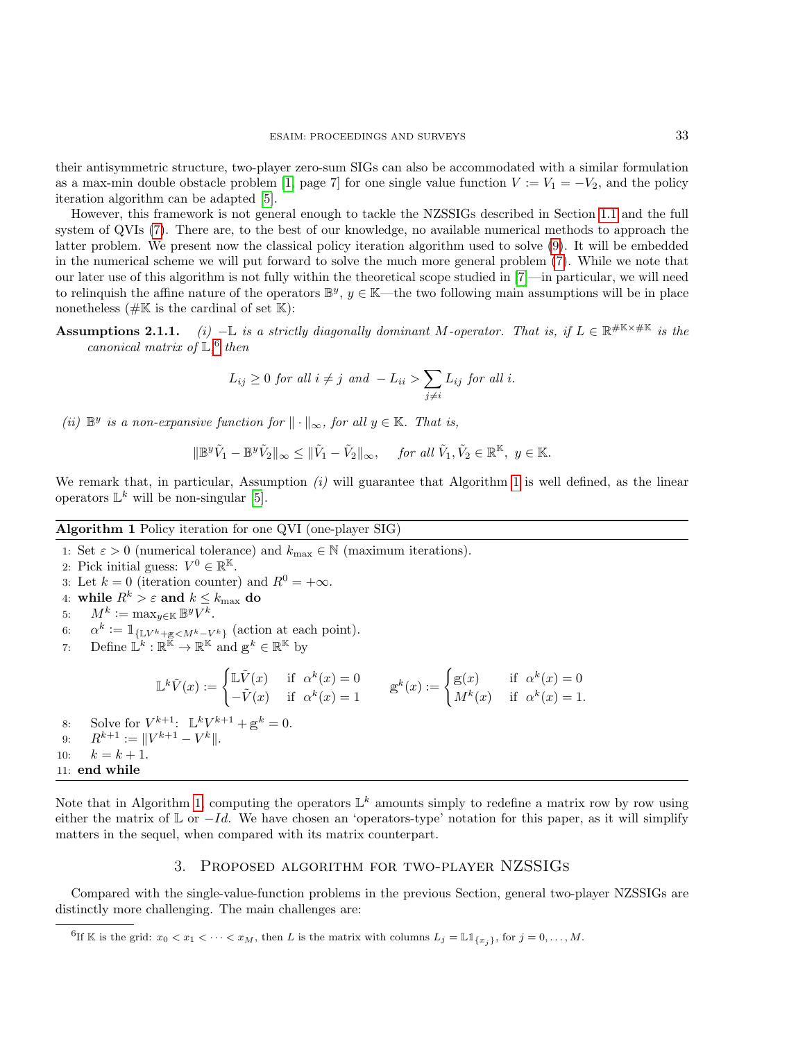their antisymmetric structure, two-player zero-sum SIGs can also be accommodated with a similar formulation as a max-min double obstacle problem [\[1,](#page-17-2) page 7] for one single value function  $V := V_1 = -V_2$ , and the policy iteration algorithm can be adapted [\[5\]](#page-17-1).

However, this framework is not general enough to tackle the NZSSIGs described in Section [1.1](#page-2-2) and the full system of QVIs [\(7\)](#page-4-2). There are, to the best of our knowledge, no available numerical methods to approach the latter problem. We present now the classical policy iteration algorithm used to solve [\(9\)](#page-5-1). It will be embedded in the numerical scheme we will put forward to solve the much more general problem [\(7\)](#page-4-2). While we note that our later use of this algorithm is not fully within the theoretical scope studied in [\[7\]](#page-18-2)—in particular, we will need to relinquish the affine nature of the operators  $\mathbb{B}^y$ ,  $y \in \mathbb{K}$ —the two following main assumptions will be in place nonetheless ( $\# \mathbb{K}$  is the cardinal of set  $\mathbb{K}$ ):

**Assumptions 2.1.1.** (i)  $-\mathbb{L}$  is a strictly diagonally dominant M-operator. That is, if  $L \in \mathbb{R}^{\#K \times \#K}$  is the canonical matrix of  $\mathbb{L}$ ,  $6$  then

$$
L_{ij} \ge 0 \text{ for all } i \ne j \text{ and } -L_{ii} > \sum_{j \ne i} L_{ij} \text{ for all } i.
$$

(ii)  $\mathbb{B}^y$  is a non-expansive function for  $\|\cdot\|_{\infty}$ , for all  $y \in \mathbb{K}$ . That is,

$$
\|\mathbb{B}^y \tilde{V}_1 - \mathbb{B}^y \tilde{V}_2\|_{\infty} \le \|\tilde{V}_1 - \tilde{V}_2\|_{\infty}, \quad \text{ for all } \tilde{V}_1, \tilde{V}_2 \in \mathbb{R}^{\mathbb{K}}, \ y \in \mathbb{K}.
$$

We remark that, in particular, Assumption  $(i)$  will guarantee that Algorithm [1](#page-6-2) is well defined, as the linear operators  $\mathbb{L}^k$  will be non-singular [\[5\]](#page-17-1).

# Algorithm 1 Policy iteration for one QVI (one-player SIG)

1: Set  $\varepsilon > 0$  (numerical tolerance) and  $k_{\text{max}} \in \mathbb{N}$  (maximum iterations). 2: Pick initial guess:  $V^0 \in \mathbb{R}^{\mathbb{K}}$ . 3: Let  $k = 0$  (iteration counter) and  $R^0 = +\infty$ . 4: while  $R^k > \varepsilon$  and  $k \leq k_{\text{max}}$  do 5:  $M^k := \max_{y \in \mathbb{K}} \mathbb{B}^y V^k$ . 6:  $\alpha^k := \mathbb{1}_{\{\mathbb{L}V^k + \mathbb{g} \le M^k - V^k\}}$  (action at each point). 7: Define  $\mathbb{L}^k : \mathbb{R}^{\overline{\mathbb{K}}} \to \mathbb{R}^{\mathbb{K}}$  and  $g^k \in \mathbb{R}^{\mathbb{K}}$  by  $\mathbb{L}^k \tilde{V}(x) := \begin{cases} \mathbb{L} \tilde{V}(x) & \text{if } \alpha^k(x) = 0 \\ \tilde{V}(x) & \text{if } k(x) = 1 \end{cases}$  $-\tilde{V}(x)$  if  $\alpha^{k}(x) = 1$   $\qquad \qquad \mathbb{g}^{k}(x) :=$  $\int g(x)$  if  $\alpha^{k}(x) = 0$  $M^k(x)$  if  $\alpha^k(x) = 1$ . 8: Solve for  $V^{k+1}$ :  $\mathbb{L}^k V^{k+1} + \mathbb{g}^k = 0$ . 9:  $R^{k+1} := \|V^{k+1} - V^k\|.$ 10:  $k = k + 1$ . 11: end while

<span id="page-6-2"></span>Note that in Algorithm [1,](#page-6-2) computing the operators  $\mathbb{L}^k$  amounts simply to redefine a matrix row by row using either the matrix of  $\mathbb L$  or  $-Id$ . We have chosen an 'operators-type' notation for this paper, as it will simplify matters in the sequel, when compared with its matrix counterpart.

## 3. Proposed algorithm for two-player NZSSIGs

<span id="page-6-0"></span>Compared with the single-value-function problems in the previous Section, general two-player NZSSIGs are distinctly more challenging. The main challenges are:

<span id="page-6-1"></span><sup>6</sup>If K is the grid:  $x_0 < x_1 < \cdots < x_M$ , then L is the matrix with columns  $L_j = \mathbb{L} \mathbb{1}_{\{x_j\}}$ , for  $j = 0, \ldots, M$ .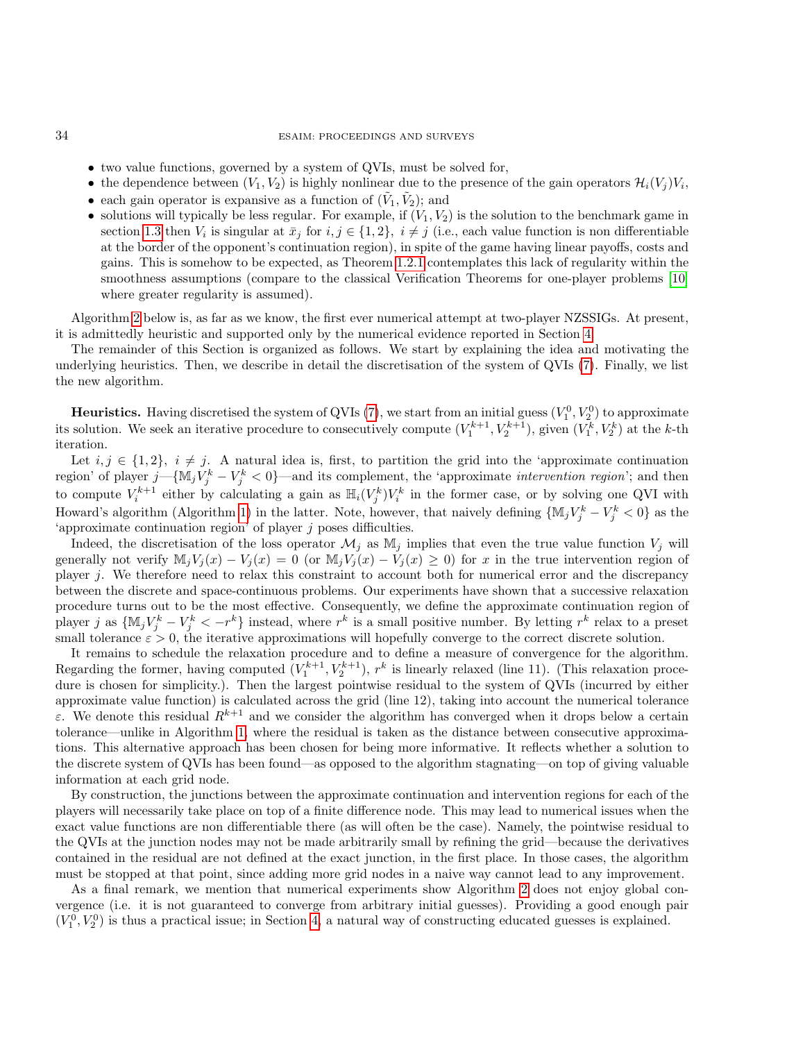### 34 ESAIM: PROCEEDINGS AND SURVEYS

- two value functions, governed by a system of QVIs, must be solved for,
- the dependence between  $(V_1, V_2)$  is highly nonlinear due to the presence of the gain operators  $\mathcal{H}_i(V_j) V_i$ ,
- each gain operator is expansive as a function of  $(\tilde{V}_1, \tilde{V}_2)$ ; and
- solutions will typically be less regular. For example, if  $(V_1, V_2)$  is the solution to the benchmark game in section [1.3](#page-4-0) then  $V_i$  is singular at  $\bar{x}_j$  for  $i, j \in \{1, 2\}, i \neq j$  (i.e., each value function is non differentiable at the border of the opponent's continuation region), in spite of the game having linear payoffs, costs and gains. This is somehow to be expected, as Theorem [1.2.1](#page-4-1) contemplates this lack of regularity within the smoothness assumptions (compare to the classical Verification Theorems for one-player problems [\[10\]](#page-18-0) where greater regularity is assumed).

Algorithm [2](#page-9-0) below is, as far as we know, the first ever numerical attempt at two-player NZSSIGs. At present, it is admittedly heuristic and supported only by the numerical evidence reported in Section [4.](#page-10-0)

The remainder of this Section is organized as follows. We start by explaining the idea and motivating the underlying heuristics. Then, we describe in detail the discretisation of the system of QVIs [\(7\)](#page-4-2). Finally, we list the new algorithm.

**Heuristics.** Having discretised the system of QVIs [\(7\)](#page-4-2), we start from an initial guess  $(V_1^0, V_2^0)$  to approximate its solution. We seek an iterative procedure to consecutively compute  $(V_1^{k+1}, V_2^{k+1})$ , given  $(V_1^k, V_2^k)$  at the k-th iteration.

Let  $i, j \in \{1, 2\}, i \neq j$ . A natural idea is, first, to partition the grid into the 'approximate continuation region' of player  $j$ —{ $M_j V_j^k - V_j^k < 0$ }—and its complement, the 'approximate *intervention region*'; and then to compute  $V_i^{k+1}$  either by calculating a gain as  $\mathbb{H}_i(V_j^k)V_i^k$  in the former case, or by solving one QVI with Howard's algorithm (Algorithm [1\)](#page-6-2) in the latter. Note, however, that naively defining  $\{M_jV_j^k - V_j^k < 0\}$  as the 'approximate continuation region' of player j poses difficulties.

Indeed, the discretisation of the loss operator  $\mathcal{M}_j$  as  $\mathbb{M}_j$  implies that even the true value function  $V_j$  will generally not verify  $\mathbb{M}_j V_j(x) - V_j(x) = 0$  (or  $\mathbb{M}_j V_j(x) - V_j(x) \geq 0$ ) for x in the true intervention region of player j. We therefore need to relax this constraint to account both for numerical error and the discrepancy between the discrete and space-continuous problems. Our experiments have shown that a successive relaxation procedure turns out to be the most effective. Consequently, we define the approximate continuation region of player j as  $\{M_jV_j^k - V_j^k < -r^k\}$  instead, where  $r^k$  is a small positive number. By letting  $r^k$  relax to a preset small tolerance  $\varepsilon > 0$ , the iterative approximations will hopefully converge to the correct discrete solution.

It remains to schedule the relaxation procedure and to define a measure of convergence for the algorithm. Regarding the former, having computed  $(V_1^{k+1}, V_2^{k+1}), r^k$  is linearly relaxed (line 11). (This relaxation procedure is chosen for simplicity.). Then the largest pointwise residual to the system of QVIs (incurred by either approximate value function) is calculated across the grid (line 12), taking into account the numerical tolerance ε. We denote this residual  $R^{k+1}$  and we consider the algorithm has converged when it drops below a certain tolerance—unlike in Algorithm [1,](#page-6-2) where the residual is taken as the distance between consecutive approximations. This alternative approach has been chosen for being more informative. It reflects whether a solution to the discrete system of QVIs has been found—as opposed to the algorithm stagnating—on top of giving valuable information at each grid node.

By construction, the junctions between the approximate continuation and intervention regions for each of the players will necessarily take place on top of a finite difference node. This may lead to numerical issues when the exact value functions are non differentiable there (as will often be the case). Namely, the pointwise residual to the QVIs at the junction nodes may not be made arbitrarily small by refining the grid—because the derivatives contained in the residual are not defined at the exact junction, in the first place. In those cases, the algorithm must be stopped at that point, since adding more grid nodes in a naive way cannot lead to any improvement.

As a final remark, we mention that numerical experiments show Algorithm [2](#page-9-0) does not enjoy global convergence (i.e. it is not guaranteed to converge from arbitrary initial guesses). Providing a good enough pair  $(V_1^0, V_2^0)$  is thus a practical issue; in Section [4,](#page-10-0) a natural way of constructing educated guesses is explained.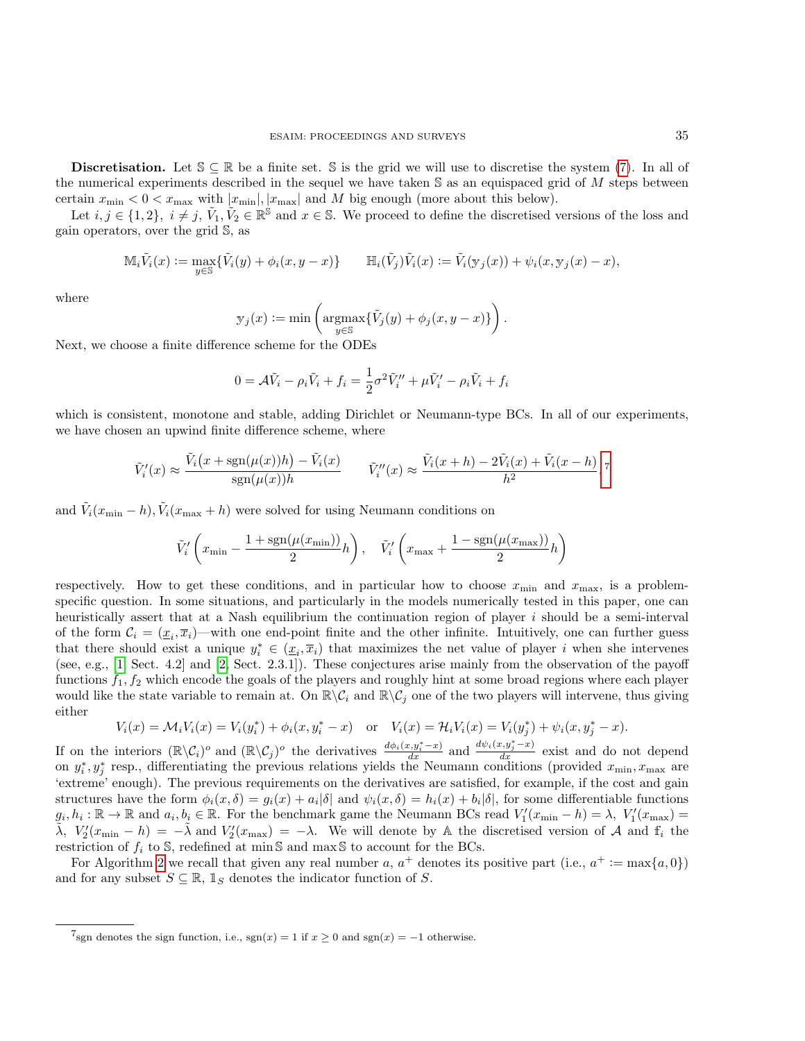Discretisation. Let  $\mathcal{S} \subseteq \mathbb{R}$  be a finite set. S is the grid we will use to discretise the system [\(7\)](#page-4-2). In all of the numerical experiments described in the sequel we have taken  $\mathbb S$  as an equispaced grid of M steps between certain  $x_{\min} < 0 < x_{\max}$  with  $|x_{\min}|, |x_{\max}|$  and M big enough (more about this below).

Let  $i, j \in \{1, 2\}, i \neq j, \tilde{V}_1, \tilde{V}_2 \in \mathbb{R}^{\mathbb{S}}$  and  $x \in \mathbb{S}$ . We proceed to define the discretised versions of the loss and gain operators, over the grid S, as

$$
\mathbb{M}_i \tilde{V}_i(x) := \max_{y \in \mathbb{S}} \{ \tilde{V}_i(y) + \phi_i(x, y - x) \} \qquad \mathbb{H}_i(\tilde{V}_j) \tilde{V}_i(x) := \tilde{V}_i(\mathbf{y}_j(x)) + \psi_i(x, \mathbf{y}_j(x) - x),
$$

where

$$
\mathbf{y}_j(x) := \min\left(\operatorname*{argmax}_{y \in \mathbb{S}} \{ \tilde{V}_j(y) + \phi_j(x, y - x) \} \right).
$$

Next, we choose a finite difference scheme for the ODEs

$$
0 = \mathcal{A}\tilde{V}_i - \rho_i \tilde{V}_i + f_i = \frac{1}{2}\sigma^2 \tilde{V}_i'' + \mu \tilde{V}_i' - \rho_i \tilde{V}_i + f_i
$$

which is consistent, monotone and stable, adding Dirichlet or Neumann-type BCs. In all of our experiments, we have chosen an upwind finite difference scheme, where

$$
\tilde{V}'_i(x) \approx \frac{\tilde{V}_i(x + \text{sgn}(\mu(x))h) - \tilde{V}_i(x)}{\text{sgn}(\mu(x))h} \qquad \tilde{V}''_i(x) \approx \frac{\tilde{V}_i(x + h) - 2\tilde{V}_i(x) + \tilde{V}_i(x - h)}{h^2},
$$

and  $\tilde{V}_i(x_{\text{min}} - h), \tilde{V}_i(x_{\text{max}} + h)$  were solved for using Neumann conditions on

$$
\tilde{V}_i^\prime\left(x_{\min}-\frac{1+\text{sgn}(\mu(x_{\min}))}{2}h\right),\quad \tilde{V}_i^\prime\left(x_{\max}+\frac{1-\text{sgn}(\mu(x_{\max}))}{2}h\right)
$$

respectively. How to get these conditions, and in particular how to choose  $x_{\min}$  and  $x_{\max}$ , is a problemspecific question. In some situations, and particularly in the models numerically tested in this paper, one can heuristically assert that at a Nash equilibrium the continuation region of player i should be a semi-interval of the form  $C_i = (\underline{x}_i, \overline{x}_i)$ —with one end-point finite and the other infinite. Intuitively, one can further guess that there should exist a unique  $y_i^* \in (\underline{x}_i, \overline{x}_i)$  that maximizes the net value of player i when she intervenes (see, e.g., [\[1,](#page-17-2) Sect. 4.2] and [\[2,](#page-17-3) Sect. 2.3.1]). These conjectures arise mainly from the observation of the payoff functions  $f_1, f_2$  which encode the goals of the players and roughly hint at some broad regions where each player would like the state variable to remain at. On  $\mathbb{R}\setminus\mathcal{C}_i$  and  $\mathbb{R}\setminus\mathcal{C}_j$  one of the two players will intervene, thus giving either

$$
V_i(x) = \mathcal{M}_i V_i(x) = V_i(y_i^*) + \phi_i(x, y_i^* - x) \quad \text{or} \quad V_i(x) = \mathcal{H}_i V_i(x) = V_i(y_j^*) + \psi_i(x, y_j^* - x).
$$

If on the interiors  $(\mathbb{R}\setminus \mathcal{C}_i)^o$  and  $(\mathbb{R}\setminus \mathcal{C}_j)^o$  the derivatives  $\frac{d\phi_i(x,y_i^*-x)}{dx}$  and  $\frac{d\psi_i(x,y_i^*-x)}{dx}$  exist and do not depend on  $y_i^*, y_j^*$  resp., differentiating the previous relations yields the Neumann conditions (provided  $x_{\min}, x_{\max}$  are 'extreme' enough). The previous requirements on the derivatives are satisfied, for example, if the cost and gain structures have the form  $\phi_i(x,\delta) = g_i(x) + a_i|\delta|$  and  $\psi_i(x,\delta) = h_i(x) + b_i|\delta|$ , for some differentiable functions  $g_i, h_i: \mathbb{R} \to \mathbb{R}$  and  $a_i, b_i \in \mathbb{R}$ . For the benchmark game the Neumann BCs read  $V'_1(x_{\min} - h) = \lambda$ ,  $V'_1(x_{\max}) =$  $\tilde{\lambda}$ ,  $V_2'(x_{\min} - h) = -\tilde{\lambda}$  and  $V_2'(x_{\max}) = -\lambda$ . We will denote by A the discretised version of A and  $f_i$  the restriction of  $f_i$  to S, redefined at min S and max S to account for the BCs.

For Algorithm [2](#page-9-0) we recall that given any real number  $a, a^+$  denotes its positive part (i.e.,  $a^+ := \max\{a, 0\}$ ) and for any subset  $S \subseteq \mathbb{R}$ ,  $\mathbb{1}_S$  denotes the indicator function of S.

<span id="page-8-0"></span><sup>&</sup>lt;sup>7</sup>sgn denotes the sign function, i.e., sgn(x) = 1 if  $x \ge 0$  and sgn(x) = -1 otherwise.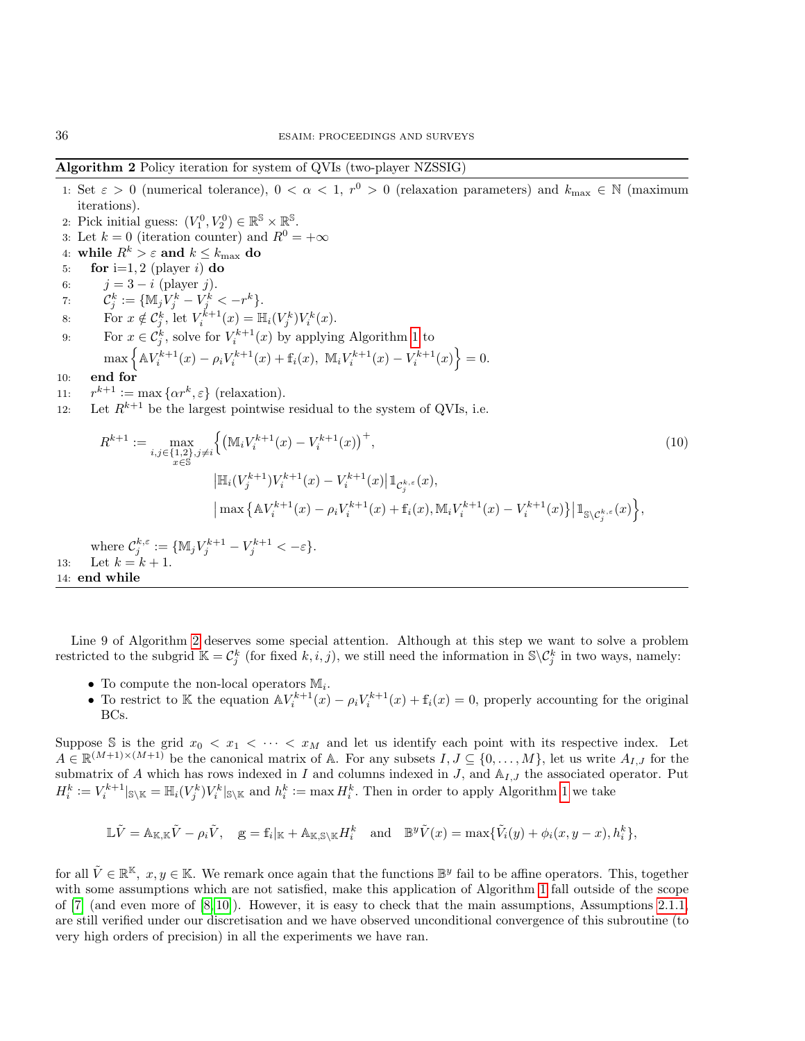# Algorithm 2 Policy iteration for system of QVIs (two-player NZSSIG)

- 1: Set  $\varepsilon > 0$  (numerical tolerance),  $0 < \alpha < 1$ ,  $r^0 > 0$  (relaxation parameters) and  $k_{\text{max}} \in \mathbb{N}$  (maximum iterations).
- 2: Pick initial guess:  $(V_1^0, V_2^0) \in \mathbb{R}^{\mathbb{S}} \times \mathbb{R}^{\mathbb{S}}$ .
- 3: Let  $k = 0$  (iteration counter) and  $R^0 = +\infty$
- 4: while  $R^k > \varepsilon$  and  $k \leq k_{\text{max}}$  do
- 5: for i=1, 2 (player i) do
- 6:  $j = 3 i$  (player j).
- 7:  $\mathcal{C}_j^k := \{ \mathbb{M}_j V_j^k V_j^k < -r^k \}.$
- 8: For  $x \notin C_j^k$ , let  $V_i^{k+1}(x) = \mathbb{H}_i(V_j^k)V_i^k(x)$ .
- 9: For  $x \in \mathcal{C}_j^k$ , solve for  $V_i^{k+1}(x)$  by applying Algorithm [1](#page-6-2) to  $\max \left\{ A V_i^{k+1}(x) - \rho_i V_i^{k+1}(x) + f_i(x), \ \mathbb{M}_i V_i^{k+1}(x) - V_i^{k+1}(x) \right\} = 0.$
- 10: end for
- $11:$  $k+1 := \max \{ \alpha r^k, \varepsilon \}$  (relaxation).
- 12: Let  $R^{k+1}$  be the largest pointwise residual to the system of QVIs, i.e.

<span id="page-9-1"></span>
$$
R^{k+1} := \max_{\substack{i,j \in \{1,2\},j \neq i}} \left\{ \left( \mathbb{M}_i V_i^{k+1}(x) - V_i^{k+1}(x) \right)^+, \right\}
$$
\n
$$
|\mathbb{H}_i (V_j^{k+1}) V_i^{k+1}(x) - V_i^{k+1}(x) | 1_{\mathcal{C}_j^{k,\varepsilon}}(x),
$$
\n
$$
|\max \left\{ \mathbb{A} V_i^{k+1}(x) - \rho_i V_i^{k+1}(x) + f_i(x), \mathbb{M}_i V_i^{k+1}(x) - V_i^{k+1}(x) \right\} | 1_{\mathbb{S} \setminus \mathcal{C}_j^{k,\varepsilon}}(x) \right\},
$$
\nwhere 
$$
\mathcal{C}_j^{k,\varepsilon} := \left\{ \mathbb{M}_j V_j^{k+1} - V_j^{k+1} < -\varepsilon \right\}.
$$
\n(10)

13: Let  $k = k + 1$ .

<span id="page-9-0"></span>14: end while

Line 9 of Algorithm [2](#page-9-0) deserves some special attention. Although at this step we want to solve a problem restricted to the subgrid  $\mathbb{K} = \mathcal{C}_j^k$  (for fixed k, i, j), we still need the information in  $\mathbb{S} \setminus \mathcal{C}_j^k$  in two ways, namely:

- To compute the non-local operators  $\mathbb{M}_i$ .
- To restrict to K the equation  $\mathbb{A}V_i^{k+1}(x) \rho_i V_i^{k+1}(x) + f_i(x) = 0$ , properly accounting for the original BCs.

Suppose S is the grid  $x_0 < x_1 < \cdots < x_M$  and let us identify each point with its respective index. Let  $A \in \mathbb{R}^{(M+1)\times (M+1)}$  be the canonical matrix of A. For any subsets  $I, J \subseteq \{0, \ldots, M\}$ , let us write  $A_{I,J}$  for the submatrix of A which has rows indexed in I and columns indexed in J, and  $A_{I,J}$  the associated operator. Put  $H_i^k := V_i^{k+1}|_{\mathbb{S}\setminus\mathbb{K}} = \mathbb{H}_i(V_j^k)V_i^k|_{\mathbb{S}\setminus\mathbb{K}}$  and  $h_i^k := \max H_i^k$ . Then in order to apply Algorithm [1](#page-6-2) we take

$$
\mathbb{L}\tilde{V} = \mathbb{A}_{\mathbb{K},\mathbb{K}}\tilde{V} - \rho_i\tilde{V}, \quad \mathbf{g} = \mathbf{f}_i|_{\mathbb{K}} + \mathbb{A}_{\mathbb{K},\mathbb{S}\backslash\mathbb{K}}H_i^k \quad \text{and} \quad \mathbb{B}^y \tilde{V}(x) = \max\{\tilde{V}_i(y) + \phi_i(x,y-x), h_i^k\},
$$

for all  $\tilde{V} \in \mathbb{R}^{\mathbb{K}}$ ,  $x, y \in \mathbb{K}$ . We remark once again that the functions  $\mathbb{B}^y$  fail to be affine operators. This, together with some assumptions which are not satisfied, make this application of Algorithm [1](#page-6-2) fall outside of the scope of  $[7]$  (and even more of  $[8, 10]$  $[8, 10]$ ). However, it is easy to check that the main assumptions, Assumptions [2.1.1,](#page-0-0) are still verified under our discretisation and we have observed unconditional convergence of this subroutine (to very high orders of precision) in all the experiments we have ran.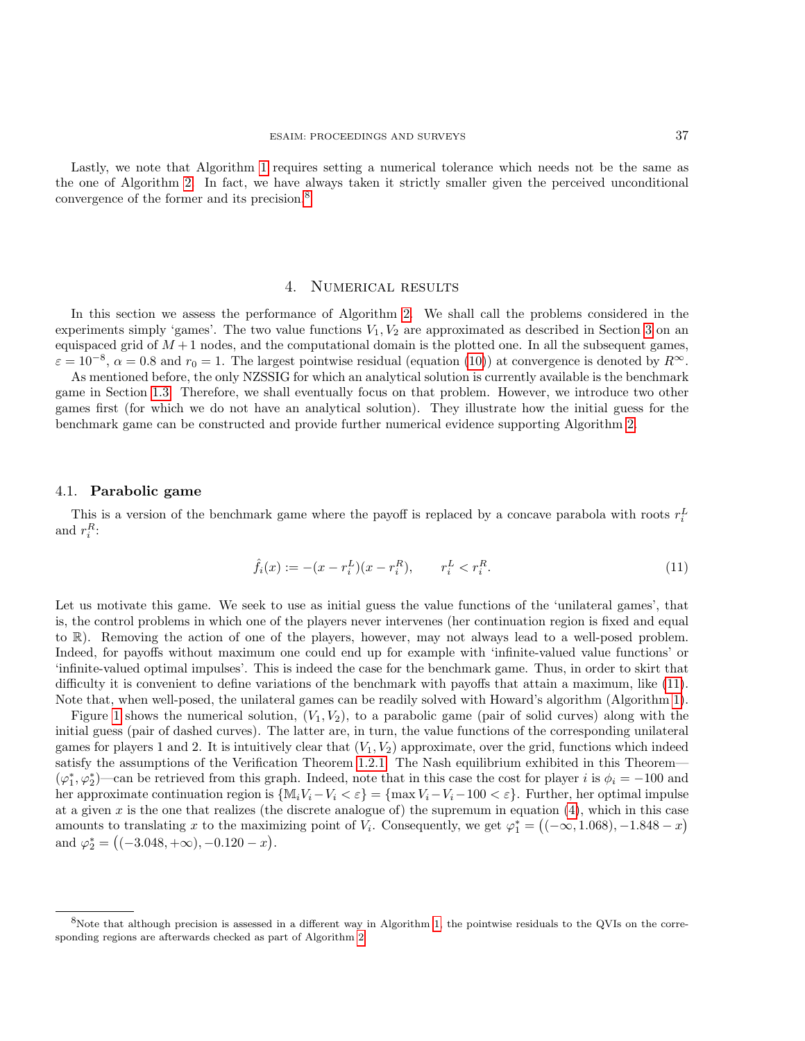Lastly, we note that Algorithm [1](#page-6-2) requires setting a numerical tolerance which needs not be the same as the one of Algorithm [2.](#page-9-0) In fact, we have always taken it strictly smaller given the perceived unconditional convergence of the former and its precision.<sup>[8](#page-10-1)</sup>

## 4. Numerical results

<span id="page-10-0"></span>In this section we assess the performance of Algorithm [2.](#page-9-0) We shall call the problems considered in the experiments simply 'games'. The two value functions  $V_1, V_2$  are approximated as described in Section [3](#page-6-0) on an equispaced grid of  $M + 1$  nodes, and the computational domain is the plotted one. In all the subsequent games,  $\varepsilon = 10^{-8}$ ,  $\alpha = 0.8$  and  $r_0 = 1$ . The largest pointwise residual (equation [\(10\)](#page-9-1)) at convergence is denoted by  $R^{\infty}$ .

As mentioned before, the only NZSSIG for which an analytical solution is currently available is the benchmark game in Section [1.3.](#page-4-0) Therefore, we shall eventually focus on that problem. However, we introduce two other games first (for which we do not have an analytical solution). They illustrate how the initial guess for the benchmark game can be constructed and provide further numerical evidence supporting Algorithm [2.](#page-9-0)

#### 4.1. Parabolic game

This is a version of the benchmark game where the payoff is replaced by a concave parabola with roots  $r_i^L$ and  $r_i^R$ :

<span id="page-10-2"></span>
$$
\hat{f}_i(x) := -(x - r_i^L)(x - r_i^R), \qquad r_i^L < r_i^R. \tag{11}
$$

Let us motivate this game. We seek to use as initial guess the value functions of the 'unilateral games', that is, the control problems in which one of the players never intervenes (her continuation region is fixed and equal to R). Removing the action of one of the players, however, may not always lead to a well-posed problem. Indeed, for payoffs without maximum one could end up for example with 'infinite-valued value functions' or 'infinite-valued optimal impulses'. This is indeed the case for the benchmark game. Thus, in order to skirt that difficulty it is convenient to define variations of the benchmark with payoffs that attain a maximum, like [\(11\)](#page-10-2). Note that, when well-posed, the unilateral games can be readily solved with Howard's algorithm (Algorithm [1\)](#page-6-2).

Figure [1](#page-11-0) shows the numerical solution,  $(V_1, V_2)$ , to a parabolic game (pair of solid curves) along with the initial guess (pair of dashed curves). The latter are, in turn, the value functions of the corresponding unilateral games for players 1 and 2. It is intuitively clear that  $(V_1, V_2)$  approximate, over the grid, functions which indeed satisfy the assumptions of the Verification Theorem [1.2.1.](#page-4-1) The Nash equilibrium exhibited in this Theorem—  $(\varphi_1^*, \varphi_2^*)$ —can be retrieved from this graph. Indeed, note that in this case the cost for player i is  $\phi_i = -100$  and her approximate continuation region is  $\{M_iV_i-V_i < \varepsilon\} = \{\max V_i - V_i - 100 < \varepsilon\}$ . Further, her optimal impulse at a given x is the one that realizes (the discrete analogue of) the supremum in equation  $(4)$ , which in this case amounts to translating x to the maximizing point of  $V_i$ . Consequently, we get  $\varphi_1^* = ((-\infty, 1.068), -1.848 - x)$ and  $\varphi_2^* = \left( (-3.048, +\infty), -0.120 - x \right)$ .

<span id="page-10-1"></span> $8$ Note that although precision is assessed in a different way in Algorithm [1,](#page-6-2) the pointwise residuals to the QVIs on the corresponding regions are afterwards checked as part of Algorithm [2](#page-9-0)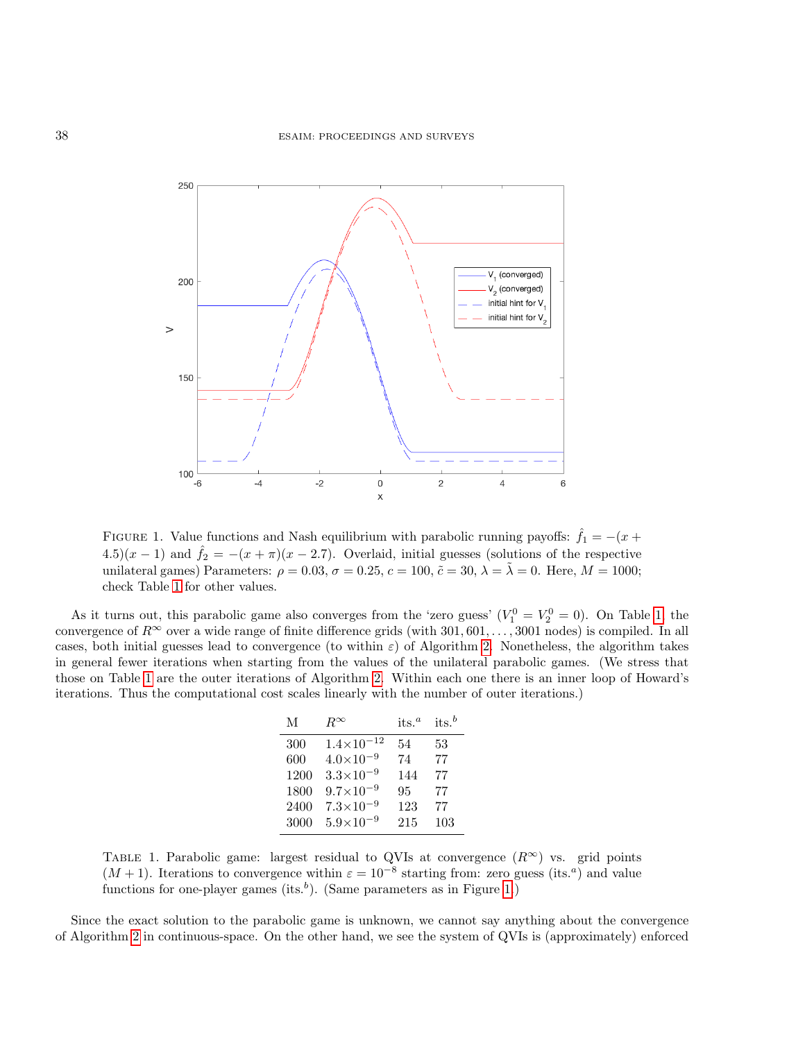

<span id="page-11-0"></span>FIGURE 1. Value functions and Nash equilibrium with parabolic running payoffs:  $\hat{f}_1 = -(x +$ 4.5)(x – 1) and  $\hat{f}_2 = -(x + \pi)(x - 2.7)$ . Overlaid, initial guesses (solutions of the respective unilateral games) Parameters:  $\rho = 0.03$ ,  $\sigma = 0.25$ ,  $c = 100$ ,  $\tilde{c} = 30$ ,  $\lambda = \tilde{\lambda} = 0$ . Here,  $M = 1000$ ; check Table [1](#page-11-1) for other values.

As it turns out, this parabolic game also converges from the 'zero guess'  $(V_1^0 = V_2^0 = 0)$ . On Table [1,](#page-11-1) the convergence of  $R^{\infty}$  over a wide range of finite difference grids (with 301, 601, ..., 3001 nodes) is compiled. In all cases, both initial guesses lead to convergence (to within  $\varepsilon$ ) of Algorithm [2.](#page-9-0) Nonetheless, the algorithm takes in general fewer iterations when starting from the values of the unilateral parabolic games. (We stress that those on Table [1](#page-11-1) are the outer iterations of Algorithm [2.](#page-9-0) Within each one there is an inner loop of Howard's iterations. Thus the computational cost scales linearly with the number of outer iterations.)

| M    | $R^{\infty}$         | its. $^a$ | $its.^b$ |
|------|----------------------|-----------|----------|
| 300  | $1.4\times10^{-12}$  | 54        | 53       |
| 600  | $4.0\times10^{-9}$   | 74        | 77       |
| 1200 | $3.3 \times 10^{-9}$ | 144       | 77       |
| 1800 | $9.7\times10^{-9}$   | 95        | 77       |
| 2400 | $7.3 \times 10^{-9}$ | 123       | 77       |
| 3000 | $5.9 \times 10^{-9}$ | 215       | 103      |

<span id="page-11-1"></span>TABLE 1. Parabolic game: largest residual to QVIs at convergence  $(R^{\infty})$  vs. grid points  $(M + 1)$ . Iterations to convergence within  $\varepsilon = 10^{-8}$  starting from: zero guess (its.<sup>*a*</sup>) and value functions for one-player games (its.<sup>b</sup>). (Same parameters as in Figure [1.](#page-11-0))

Since the exact solution to the parabolic game is unknown, we cannot say anything about the convergence of Algorithm [2](#page-9-0) in continuous-space. On the other hand, we see the system of QVIs is (approximately) enforced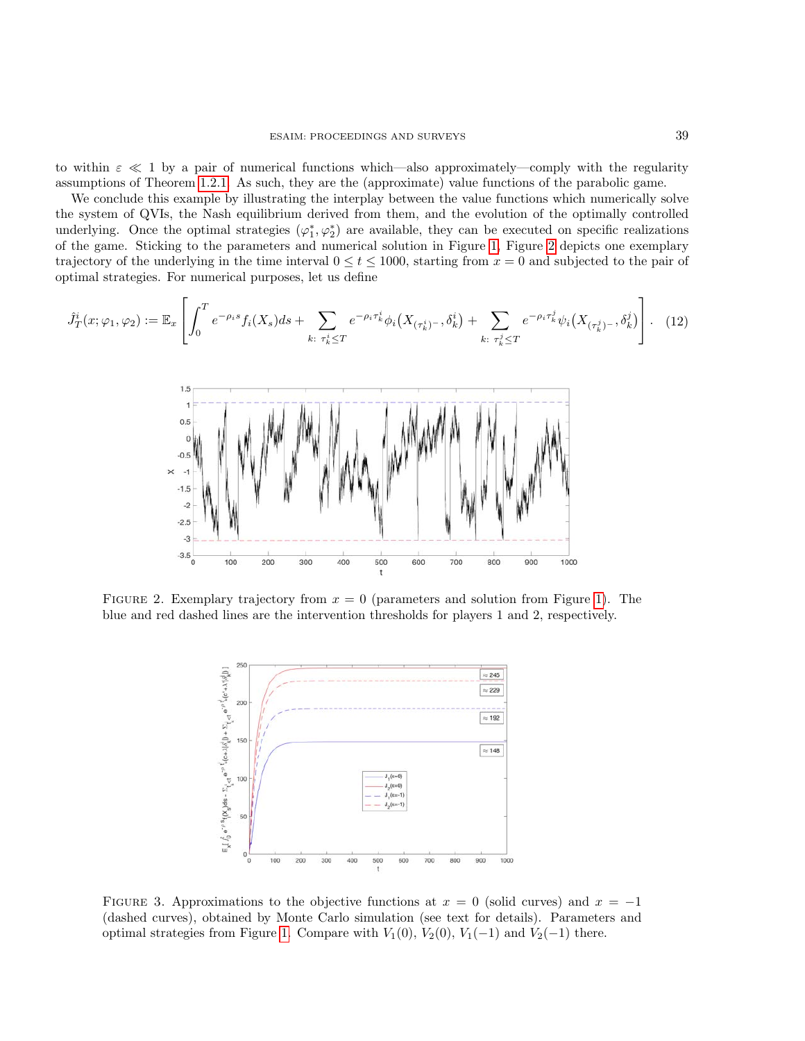to within  $\varepsilon \ll 1$  by a pair of numerical functions which—also approximately—comply with the regularity assumptions of Theorem [1.2.1.](#page-4-1) As such, they are the (approximate) value functions of the parabolic game.

We conclude this example by illustrating the interplay between the value functions which numerically solve the system of QVIs, the Nash equilibrium derived from them, and the evolution of the optimally controlled underlying. Once the optimal strategies  $(\varphi_1^*, \varphi_2^*)$  are available, they can be executed on specific realizations of the game. Sticking to the parameters and numerical solution in Figure [1,](#page-11-0) Figure [2](#page-12-0) depicts one exemplary trajectory of the underlying in the time interval  $0 \le t \le 1000$ , starting from  $x = 0$  and subjected to the pair of optimal strategies. For numerical purposes, let us define

<span id="page-12-1"></span>
$$
\hat{J}_T^i(x; \varphi_1, \varphi_2) := \mathbb{E}_x \left[ \int_0^T e^{-\rho_i s} f_i(X_s) ds + \sum_{k: \ \tau_k^i \le T} e^{-\rho_i \tau_k^i} \phi_i(X_{(\tau_k^i)^{-}}, \delta_k^i) + \sum_{k: \ \tau_k^j \le T} e^{-\rho_i \tau_k^j} \psi_i(X_{(\tau_k^j)^{-}}, \delta_k^j) \right]. \tag{12}
$$



FIGURE 2. Exemplary trajectory from  $x = 0$  (parameters and solution from Figure [1\)](#page-11-0). The blue and red dashed lines are the intervention thresholds for players 1 and 2, respectively.

<span id="page-12-0"></span>

<span id="page-12-2"></span>FIGURE 3. Approximations to the objective functions at  $x = 0$  (solid curves) and  $x = -1$ (dashed curves), obtained by Monte Carlo simulation (see text for details). Parameters and optimal strategies from Figure [1.](#page-11-0) Compare with  $V_1(0)$ ,  $V_2(0)$ ,  $V_1(-1)$  and  $V_2(-1)$  there.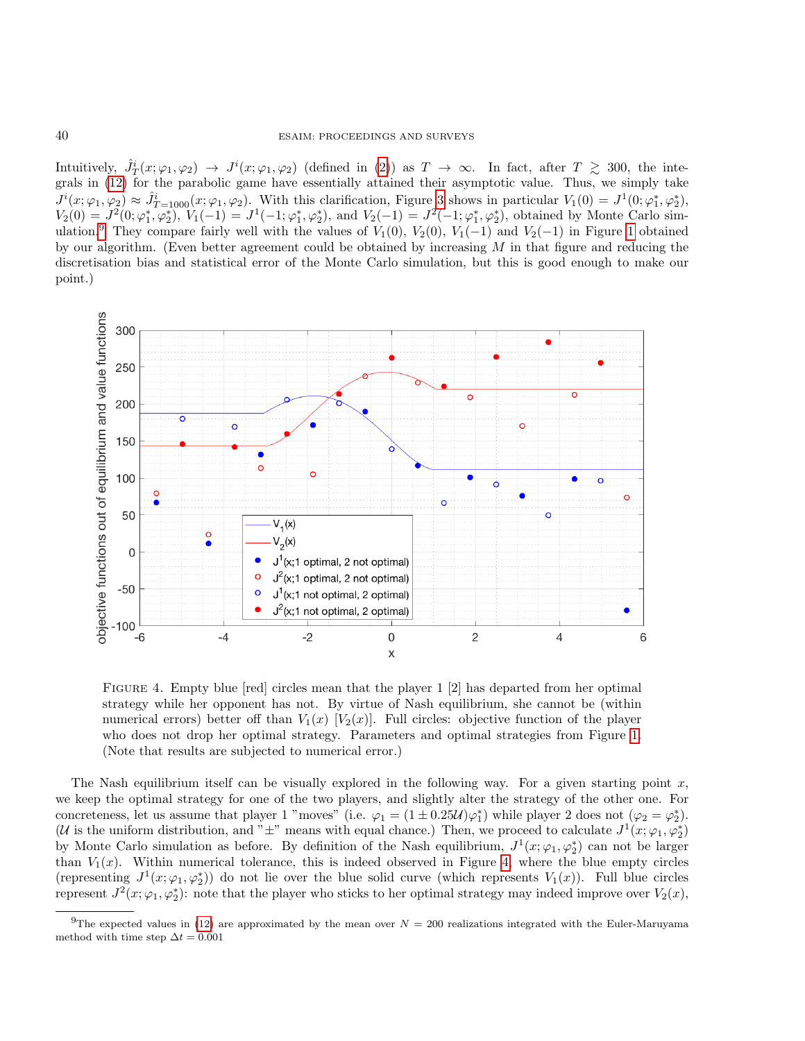Intuitively,  $\hat{J}_T^i(x;\varphi_1,\varphi_2) \to J^i(x;\varphi_1,\varphi_2)$  (defined in [\(2\)](#page-2-3)) as  $T \to \infty$ . In fact, after  $T \geq 300$ , the integrals in [\(12\)](#page-12-1) for the parabolic game have essentially attained their asymptotic value. Thus, we simply take  $J^{i}(x;\varphi_{1},\varphi_{2}) \approx \hat{J}_{T=1000}^{i}(x;\varphi_{1},\varphi_{2})$ . With this clarification, Figure [3](#page-12-2) shows in particular  $V_{1}(0) = J^{1}(0;\varphi_{1}^{*},\varphi_{2}^{*})$ ,  $V_2(0) = J^2(0; \varphi_1^*, \varphi_2^*), V_1(-1) = J^1(-1; \varphi_1^*, \varphi_2^*), \text{ and } V_2(-1) = J^2(-1; \varphi_1^*, \varphi_2^*), \text{ obtained by Monte Carlo sim-}$ ulation.<sup>[9](#page-13-0)</sup> They compare fairly well with the values of  $V_1(0)$ ,  $V_2(0)$ ,  $V_1(-1)$  and  $V_2(-1)$  in Figure [1](#page-11-0) obtained by our algorithm. (Even better agreement could be obtained by increasing  $M$  in that figure and reducing the discretisation bias and statistical error of the Monte Carlo simulation, but this is good enough to make our point.)



<span id="page-13-1"></span>FIGURE 4. Empty blue [red] circles mean that the player 1 [2] has departed from her optimal strategy while her opponent has not. By virtue of Nash equilibrium, she cannot be (within numerical errors) better off than  $V_1(x)$  [ $V_2(x)$ ]. Full circles: objective function of the player who does not drop her optimal strategy. Parameters and optimal strategies from Figure [1.](#page-11-0) (Note that results are subjected to numerical error.)

The Nash equilibrium itself can be visually explored in the following way. For a given starting point  $x$ , we keep the optimal strategy for one of the two players, and slightly alter the strategy of the other one. For concreteness, let us assume that player 1 "moves" (i.e.  $\varphi_1 = (1 \pm 0.25 \mathcal{U}) \varphi_1^*$ ) while player 2 does not  $(\varphi_2 = \varphi_2^*)$ . (U is the uniform distribution, and " $\pm$ " means with equal chance.) Then, we proceed to calculate  $J^1(x; \varphi_1, \varphi_2^*)$ by Monte Carlo simulation as before. By definition of the Nash equilibrium,  $J^1(x; \varphi_1, \varphi_2^*)$  can not be larger than  $V_1(x)$ . Within numerical tolerance, this is indeed observed in Figure [4,](#page-13-1) where the blue empty circles (representing  $J^1(x; \varphi_1, \varphi_2^*)$ ) do not lie over the blue solid curve (which represents  $V_1(x)$ ). Full blue circles represent  $J^2(x; \varphi_1, \varphi_2^*)$ : note that the player who sticks to her optimal strategy may indeed improve over  $V_2(x)$ ,

<span id="page-13-0"></span><sup>&</sup>lt;sup>9</sup>The expected values in [\(12\)](#page-12-1) are approximated by the mean over  $N = 200$  realizations integrated with the Euler-Maruyama method with time step  $\Delta t = 0.001$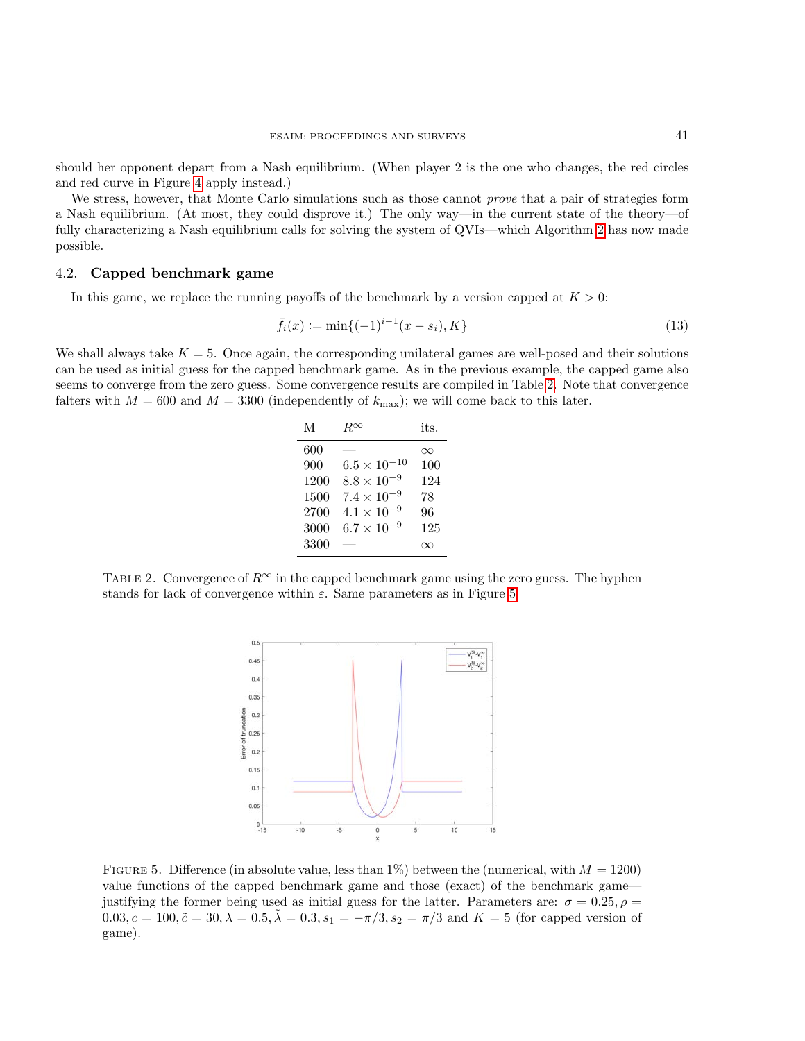should her opponent depart from a Nash equilibrium. (When player 2 is the one who changes, the red circles and red curve in Figure [4](#page-13-1) apply instead.)

We stress, however, that Monte Carlo simulations such as those cannot *prove* that a pair of strategies form a Nash equilibrium. (At most, they could disprove it.) The only way—in the current state of the theory—of fully characterizing a Nash equilibrium calls for solving the system of QVIs—which Algorithm [2](#page-9-0) has now made possible.

## 4.2. Capped benchmark game

In this game, we replace the running payoffs of the benchmark by a version capped at  $K > 0$ :

$$
\bar{f}_i(x) := \min\{(-1)^{i-1}(x - s_i), K\}
$$
\n(13)

We shall always take  $K = 5$ . Once again, the corresponding unilateral games are well-posed and their solutions can be used as initial guess for the capped benchmark game. As in the previous example, the capped game also seems to converge from the zero guess. Some convergence results are compiled in Table [2.](#page-14-0) Note that convergence falters with  $M = 600$  and  $M = 3300$  (independently of  $k_{\text{max}}$ ); we will come back to this later.

| М    | $R^{\alpha}$                | its. |
|------|-----------------------------|------|
| 600  |                             | ∞    |
| 900  | $^{-10}$<br>$6.5 \times 10$ | 100  |
| 1200 | $8.8 \times 10^{-9}$        | 124  |
| 1500 | $7.4 \times 10^{-9}$        | 78   |
| 2700 | $4.1 \times 10^{-9}$        | 96   |
| 3000 | $6.7 \times 10^{-9}$        | 125  |
| 3300 |                             |      |
|      |                             |      |

<span id="page-14-0"></span>TABLE 2. Convergence of  $R^{\infty}$  in the capped benchmark game using the zero guess. The hyphen stands for lack of convergence within  $\varepsilon$ . Same parameters as in Figure [5.](#page-14-1)



<span id="page-14-1"></span>FIGURE 5. Difference (in absolute value, less than  $1\%$ ) between the (numerical, with  $M = 1200$ ) value functions of the capped benchmark game and those (exact) of the benchmark game justifying the former being used as initial guess for the latter. Parameters are:  $\sigma = 0.25, \rho =$  $0.03, c = 100, \tilde{c} = 30, \lambda = 0.5, \tilde{\lambda} = 0.3, s_1 = -\pi/3, s_2 = \pi/3$  and  $K = 5$  (for capped version of game).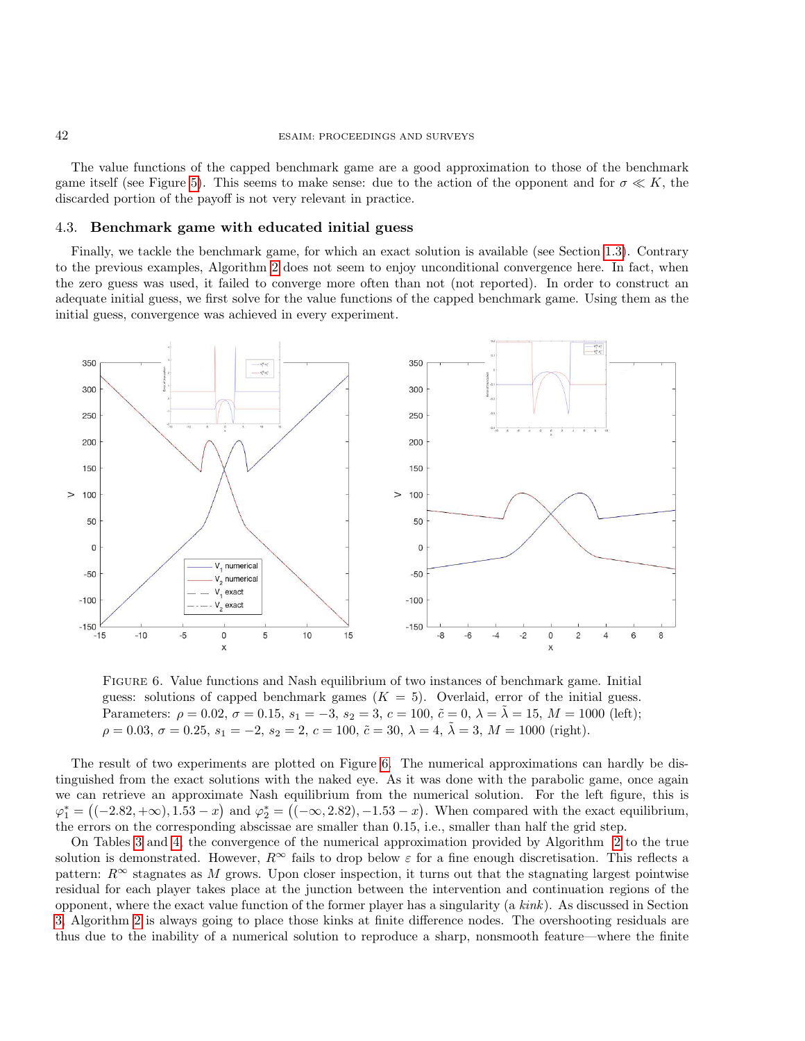The value functions of the capped benchmark game are a good approximation to those of the benchmark game itself (see Figure [5\)](#page-14-1). This seems to make sense: due to the action of the opponent and for  $\sigma \ll K$ , the discarded portion of the payoff is not very relevant in practice.

#### 4.3. Benchmark game with educated initial guess

Finally, we tackle the benchmark game, for which an exact solution is available (see Section [1.3\)](#page-4-0). Contrary to the previous examples, Algorithm [2](#page-9-0) does not seem to enjoy unconditional convergence here. In fact, when the zero guess was used, it failed to converge more often than not (not reported). In order to construct an adequate initial guess, we first solve for the value functions of the capped benchmark game. Using them as the initial guess, convergence was achieved in every experiment.



<span id="page-15-0"></span>Figure 6. Value functions and Nash equilibrium of two instances of benchmark game. Initial guess: solutions of capped benchmark games  $(K = 5)$ . Overlaid, error of the initial guess. Parameters:  $\rho = 0.02, \sigma = 0.15, s_1 = -3, s_2 = 3, c = 100, \tilde{c} = 0, \lambda = \tilde{\lambda} = 15, M = 1000$  (left);  $\rho = 0.03, \sigma = 0.25, s_1 = -2, s_2 = 2, c = 100, \tilde{c} = 30, \lambda = 4, \tilde{\lambda} = 3, M = 1000$  (right).

The result of two experiments are plotted on Figure [6.](#page-15-0) The numerical approximations can hardly be distinguished from the exact solutions with the naked eye. As it was done with the parabolic game, once again we can retrieve an approximate Nash equilibrium from the numerical solution. For the left figure, this is  $\varphi_1^* = \big( (-2.82, +\infty), 1.53 - x \big)$  and  $\varphi_2^* = \big( (-\infty, 2.82), -1.53 - x \big)$ . When compared with the exact equilibrium, the errors on the corresponding abscissae are smaller than 0.15, i.e., smaller than half the grid step.

On Tables [3](#page-16-0) and [4,](#page-16-1) the convergence of the numerical approximation provided by Algorithm [2](#page-9-0) to the true solution is demonstrated. However,  $R^{\infty}$  fails to drop below  $\varepsilon$  for a fine enough discretisation. This reflects a pattern:  $R^{\infty}$  stagnates as M grows. Upon closer inspection, it turns out that the stagnating largest pointwise residual for each player takes place at the junction between the intervention and continuation regions of the opponent, where the exact value function of the former player has a singularity (a kink). As discussed in Section [3,](#page-6-0) Algorithm [2](#page-9-0) is always going to place those kinks at finite difference nodes. The overshooting residuals are thus due to the inability of a numerical solution to reproduce a sharp, nonsmooth feature—where the finite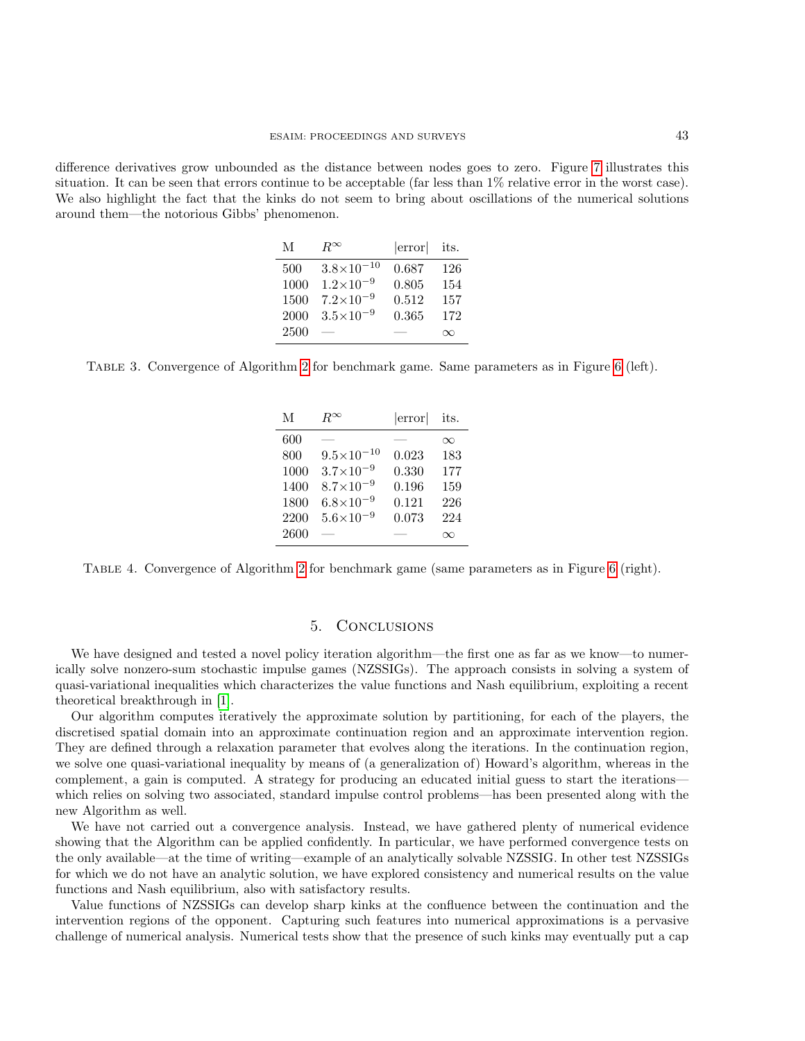difference derivatives grow unbounded as the distance between nodes goes to zero. Figure [7](#page-17-6) illustrates this situation. It can be seen that errors continue to be acceptable (far less than 1% relative error in the worst case). We also highlight the fact that the kinks do not seem to bring about oscillations of the numerical solutions around them—the notorious Gibbs' phenomenon.

| M    | $R^{\infty}$          | error | its.     |
|------|-----------------------|-------|----------|
| 500  | $3.8 \times 10^{-10}$ | 0.687 | 126      |
| 1000 | $1.2\times10^{-9}$    | 0.805 | 154      |
| 1500 | $7.2\times10^{-9}$    | 0.512 | 157      |
| 2000 | $3.5 \times 10^{-9}$  | 0.365 | 172      |
| 2500 |                       |       | $\infty$ |
|      |                       |       |          |

<span id="page-16-0"></span>Table 3. Convergence of Algorithm [2](#page-9-0) for benchmark game. Same parameters as in Figure [6](#page-15-0) (left).

| M    | $R^{\infty}$          | error | its.     |
|------|-----------------------|-------|----------|
| 600  |                       |       | $\infty$ |
| 800  | $9.5 \times 10^{-10}$ | 0.023 | 183      |
| 1000 | $3.7 \times 10^{-9}$  | 0.330 | 177      |
| 1400 | $8.7\times10^{-9}$    | 0.196 | 159      |
| 1800 | $6.8\times10^{-9}$    | 0.121 | 226      |
| 2200 | $5.6 \times 10^{-9}$  | 0.073 | 224      |
| 2600 |                       |       | ⋎        |

<span id="page-16-1"></span>Table 4. Convergence of Algorithm [2](#page-9-0) for benchmark game (same parameters as in Figure [6](#page-15-0) (right).

# 5. Conclusions

We have designed and tested a novel policy iteration algorithm—the first one as far as we know—to numerically solve nonzero-sum stochastic impulse games (NZSSIGs). The approach consists in solving a system of quasi-variational inequalities which characterizes the value functions and Nash equilibrium, exploiting a recent theoretical breakthrough in [\[1\]](#page-17-2).

Our algorithm computes iteratively the approximate solution by partitioning, for each of the players, the discretised spatial domain into an approximate continuation region and an approximate intervention region. They are defined through a relaxation parameter that evolves along the iterations. In the continuation region, we solve one quasi-variational inequality by means of (a generalization of) Howard's algorithm, whereas in the complement, a gain is computed. A strategy for producing an educated initial guess to start the iterations which relies on solving two associated, standard impulse control problems—has been presented along with the new Algorithm as well.

We have not carried out a convergence analysis. Instead, we have gathered plenty of numerical evidence showing that the Algorithm can be applied confidently. In particular, we have performed convergence tests on the only available—at the time of writing—example of an analytically solvable NZSSIG. In other test NZSSIGs for which we do not have an analytic solution, we have explored consistency and numerical results on the value functions and Nash equilibrium, also with satisfactory results.

Value functions of NZSSIGs can develop sharp kinks at the confluence between the continuation and the intervention regions of the opponent. Capturing such features into numerical approximations is a pervasive challenge of numerical analysis. Numerical tests show that the presence of such kinks may eventually put a cap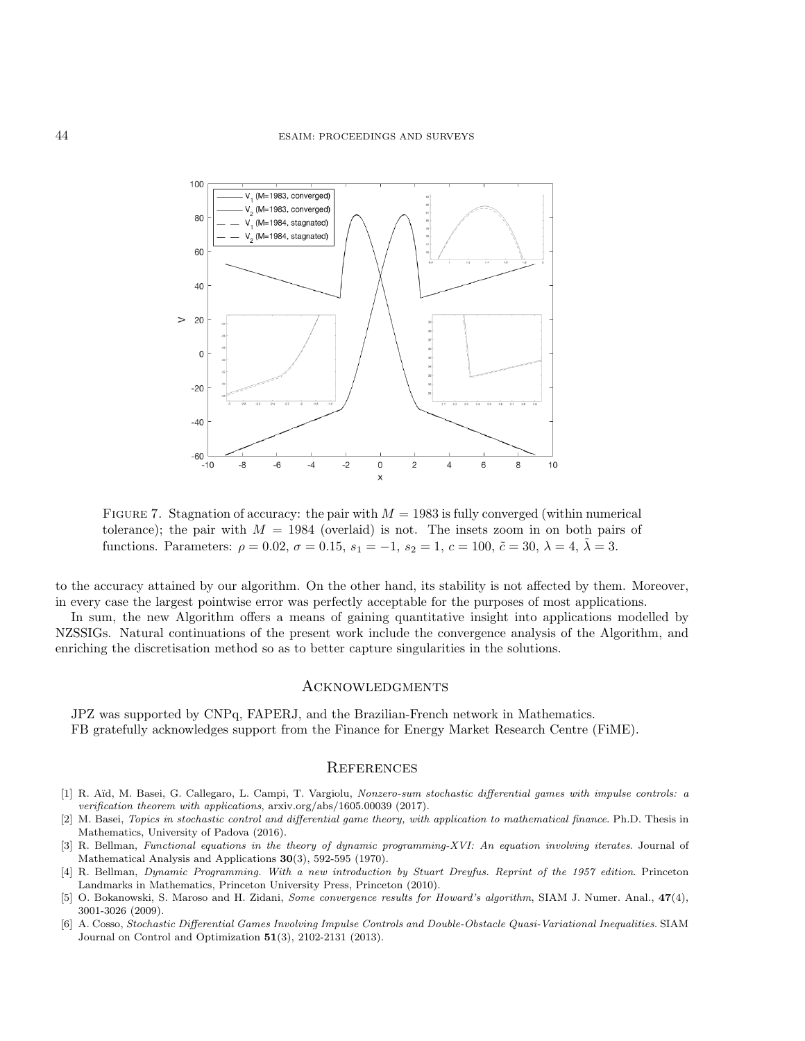

<span id="page-17-6"></span>FIGURE 7. Stagnation of accuracy: the pair with  $M = 1983$  is fully converged (within numerical tolerance); the pair with  $M = 1984$  (overlaid) is not. The insets zoom in on both pairs of functions. Parameters:  $\rho = 0.02$ ,  $\sigma = 0.15$ ,  $s_1 = -1$ ,  $s_2 = 1$ ,  $c = 100$ ,  $\tilde{c} = 30$ ,  $\lambda = 4$ ,  $\tilde{\lambda} = 3$ .

to the accuracy attained by our algorithm. On the other hand, its stability is not affected by them. Moreover, in every case the largest pointwise error was perfectly acceptable for the purposes of most applications.

In sum, the new Algorithm offers a means of gaining quantitative insight into applications modelled by NZSSIGs. Natural continuations of the present work include the convergence analysis of the Algorithm, and enriching the discretisation method so as to better capture singularities in the solutions.

# **ACKNOWLEDGMENTS**

JPZ was supported by CNPq, FAPERJ, and the Brazilian-French network in Mathematics. FB gratefully acknowledges support from the Finance for Energy Market Research Centre (FiME).

# **REFERENCES**

- <span id="page-17-2"></span>[1] R. Aïd, M. Basei, G. Callegaro, L. Campi, T. Vargiolu, Nonzero-sum stochastic differential games with impulse controls: a verification theorem with applications, arxiv.org/abs/1605.00039 (2017).
- <span id="page-17-3"></span>[2] M. Basei, Topics in stochastic control and differential game theory, with application to mathematical finance. Ph.D. Thesis in Mathematics, University of Padova (2016).
- <span id="page-17-0"></span>[3] R. Bellman, Functional equations in the theory of dynamic programming-XVI: An equation involving iterates. Journal of Mathematical Analysis and Applications 30(3), 592-595 (1970).
- <span id="page-17-5"></span>[4] R. Bellman, Dynamic Programming. With a new introduction by Stuart Dreyfus. Reprint of the 1957 edition. Princeton Landmarks in Mathematics, Princeton University Press, Princeton (2010).
- <span id="page-17-1"></span>[5] O. Bokanowski, S. Maroso and H. Zidani, Some convergence results for Howard's algorithm, SIAM J. Numer. Anal., 47(4), 3001-3026 (2009).
- <span id="page-17-4"></span>[6] A. Cosso, Stochastic Differential Games Involving Impulse Controls and Double-Obstacle Quasi-Variational Inequalities. SIAM Journal on Control and Optimization 51(3), 2102-2131 (2013).